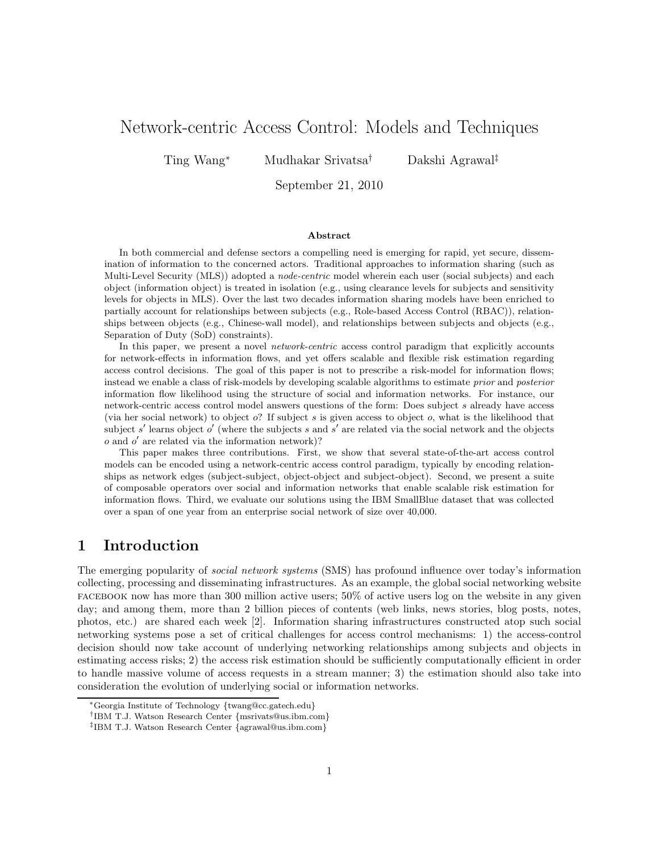# Network-centric Access Control: Models and Techniques

Ting Wang<sup>∗</sup> Mudhakar Srivatsa† Dakshi Agrawal‡

September 21, 2010

### Abstract

In both commercial and defense sectors a compelling need is emerging for rapid, yet secure, dissemination of information to the concerned actors. Traditional approaches to information sharing (such as Multi-Level Security (MLS)) adopted a *node-centric* model wherein each user (social subjects) and each object (information object) is treated in isolation (e.g., using clearance levels for subjects and sensitivity levels for objects in MLS). Over the last two decades information sharing models have been enriched to partially account for relationships between subjects (e.g., Role-based Access Control (RBAC)), relationships between objects (e.g., Chinese-wall model), and relationships between subjects and objects (e.g., Separation of Duty (SoD) constraints).

In this paper, we present a novel *network-centric* access control paradigm that explicitly accounts for network-effects in information flows, and yet offers scalable and flexible risk estimation regarding access control decisions. The goal of this paper is not to prescribe a risk-model for information flows; instead we enable a class of risk-models by developing scalable algorithms to estimate prior and posterior information flow likelihood using the structure of social and information networks. For instance, our network-centric access control model answers questions of the form: Does subject s already have access (via her social network) to object  $\delta$ ? If subject s is given access to object  $\delta$ , what is the likelihood that subject s' learns object o' (where the subjects s and s' are related via the social network and the objects o and o ′ are related via the information network)?

This paper makes three contributions. First, we show that several state-of-the-art access control models can be encoded using a network-centric access control paradigm, typically by encoding relationships as network edges (subject-subject, object-object and subject-object). Second, we present a suite of composable operators over social and information networks that enable scalable risk estimation for information flows. Third, we evaluate our solutions using the IBM SmallBlue dataset that was collected over a span of one year from an enterprise social network of size over 40,000.

## 1 Introduction

The emerging popularity of *social network systems* (SMS) has profound influence over today's information collecting, processing and disseminating infrastructures. As an example, the global social networking website  $FACEBOOK$  now has more than 300 million active users;  $50\%$  of active users log on the website in any given day; and among them, more than 2 billion pieces of contents (web links, news stories, blog posts, notes, photos, etc.) are shared each week [2]. Information sharing infrastructures constructed atop such social networking systems pose a set of critical challenges for access control mechanisms: 1) the access-control decision should now take account of underlying networking relationships among subjects and objects in estimating access risks; 2) the access risk estimation should be sufficiently computationally efficient in order to handle massive volume of access requests in a stream manner; 3) the estimation should also take into consideration the evolution of underlying social or information networks.

<sup>∗</sup>Georgia Institute of Technology {twang@cc.gatech.edu}

<sup>†</sup> IBM T.J. Watson Research Center {msrivats@us.ibm.com}

<sup>‡</sup> IBM T.J. Watson Research Center {agrawal@us.ibm.com}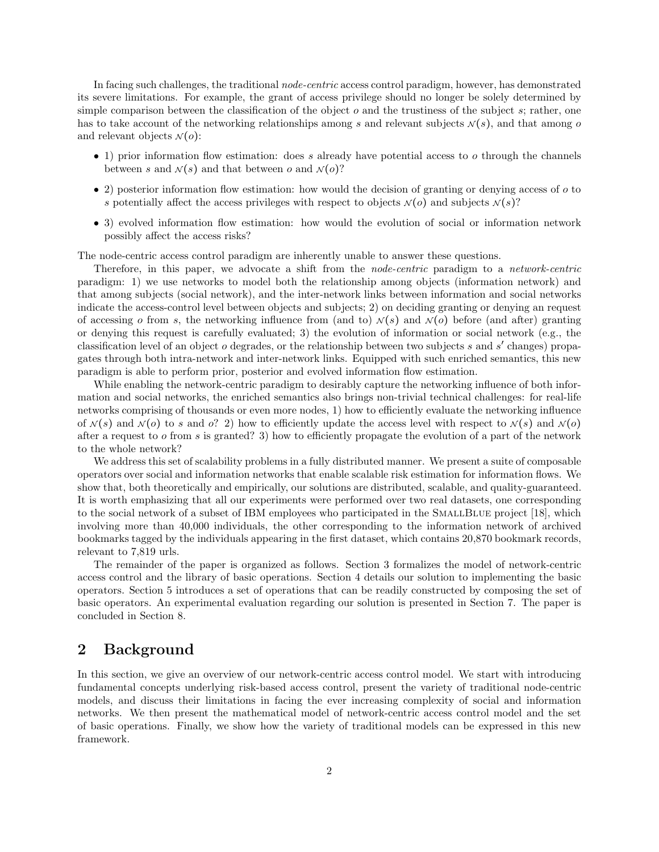In facing such challenges, the traditional *node-centric* access control paradigm, however, has demonstrated its severe limitations. For example, the grant of access privilege should no longer be solely determined by simple comparison between the classification of the object  $o$  and the trustiness of the subject  $s$ ; rather, one has to take account of the networking relationships among s and relevant subjects  $\mathcal{N}(s)$ , and that among o and relevant objects  $\mathcal{N}(o)$ :

- 1) prior information flow estimation: does s already have potential access to o through the channels between s and  $\mathcal{N}(s)$  and that between o and  $\mathcal{N}(o)$ ?
- 2) posterior information flow estimation: how would the decision of granting or denying access of o to s potentially affect the access privileges with respect to objects  $\mathcal{N}(o)$  and subjects  $\mathcal{N}(s)$ ?
- 3) evolved information flow estimation: how would the evolution of social or information network possibly affect the access risks?

The node-centric access control paradigm are inherently unable to answer these questions.

Therefore, in this paper, we advocate a shift from the *node-centric* paradigm to a *network-centric* paradigm: 1) we use networks to model both the relationship among objects (information network) and that among subjects (social network), and the inter-network links between information and social networks indicate the access-control level between objects and subjects; 2) on deciding granting or denying an request of accessing o from s, the networking influence from (and to)  $\mathcal{N}(s)$  and  $\mathcal{N}(o)$  before (and after) granting or denying this request is carefully evaluated; 3) the evolution of information or social network (e.g., the classification level of an object o degrades, or the relationship between two subjects s and s' changes) propagates through both intra-network and inter-network links. Equipped with such enriched semantics, this new paradigm is able to perform prior, posterior and evolved information flow estimation.

While enabling the network-centric paradigm to desirably capture the networking influence of both information and social networks, the enriched semantics also brings non-trivial technical challenges: for real-life networks comprising of thousands or even more nodes, 1) how to efficiently evaluate the networking influence of  $\mathcal{N}(s)$  and  $\mathcal{N}(o)$  to s and o? 2) how to efficiently update the access level with respect to  $\mathcal{N}(s)$  and  $\mathcal{N}(o)$ after a request to o from s is granted? 3) how to efficiently propagate the evolution of a part of the network to the whole network?

We address this set of scalability problems in a fully distributed manner. We present a suite of composable operators over social and information networks that enable scalable risk estimation for information flows. We show that, both theoretically and empirically, our solutions are distributed, scalable, and quality-guaranteed. It is worth emphasizing that all our experiments were performed over two real datasets, one corresponding to the social network of a subset of IBM employees who participated in the SMALLBLUE project [18], which involving more than 40,000 individuals, the other corresponding to the information network of archived bookmarks tagged by the individuals appearing in the first dataset, which contains 20,870 bookmark records, relevant to 7,819 urls.

The remainder of the paper is organized as follows. Section 3 formalizes the model of network-centric access control and the library of basic operations. Section 4 details our solution to implementing the basic operators. Section 5 introduces a set of operations that can be readily constructed by composing the set of basic operators. An experimental evaluation regarding our solution is presented in Section 7. The paper is concluded in Section 8.

## 2 Background

In this section, we give an overview of our network-centric access control model. We start with introducing fundamental concepts underlying risk-based access control, present the variety of traditional node-centric models, and discuss their limitations in facing the ever increasing complexity of social and information networks. We then present the mathematical model of network-centric access control model and the set of basic operations. Finally, we show how the variety of traditional models can be expressed in this new framework.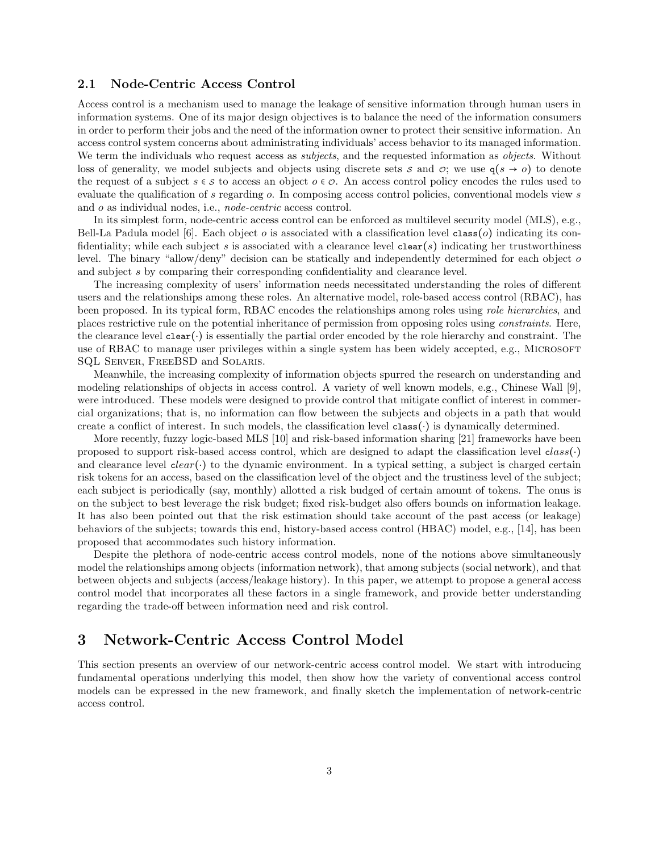### 2.1 Node-Centric Access Control

Access control is a mechanism used to manage the leakage of sensitive information through human users in information systems. One of its major design objectives is to balance the need of the information consumers in order to perform their jobs and the need of the information owner to protect their sensitive information. An access control system concerns about administrating individuals' access behavior to its managed information. We term the individuals who request access as *subjects*, and the requested information as *objects*. Without loss of generality, we model subjects and objects using discrete sets s and  $\varphi$ ; we use  $g(s \to o)$  to denote the request of a subject  $s \in \mathcal{S}$  to access an object  $o \in \mathcal{O}$ . An access control policy encodes the rules used to evaluate the qualification of s regarding o. In composing access control policies, conventional models view s and o as individual nodes, i.e., *node-centric* access control.

In its simplest form, node-centric access control can be enforced as multilevel security model (MLS), e.g., Bell-La Padula model [6]. Each object  $o$  is associated with a classification level class( $o$ ) indicating its confidentiality; while each subject s is associated with a clearance level clear(s) indicating her trustworthiness level. The binary "allow/deny" decision can be statically and independently determined for each object of and subject s by comparing their corresponding confidentiality and clearance level.

The increasing complexity of users' information needs necessitated understanding the roles of different users and the relationships among these roles. An alternative model, role-based access control (RBAC), has been proposed. In its typical form, RBAC encodes the relationships among roles using *role hierarchies*, and places restrictive rule on the potential inheritance of permission from opposing roles using *constraints*. Here, the clearance level clear(⋅) is essentially the partial order encoded by the role hierarchy and constraint. The use of RBAC to manage user privileges within a single system has been widely accepted, e.g., MICROSOFT SQL Server, FreeBSD and Solaris.

Meanwhile, the increasing complexity of information objects spurred the research on understanding and modeling relationships of objects in access control. A variety of well known models, e.g., Chinese Wall [9], were introduced. These models were designed to provide control that mitigate conflict of interest in commercial organizations; that is, no information can flow between the subjects and objects in a path that would create a conflict of interest. In such models, the classification level class(⋅) is dynamically determined.

More recently, fuzzy logic-based MLS [10] and risk-based information sharing [21] frameworks have been proposed to support risk-based access control, which are designed to adapt the classification level class( $\cdot$ ) and clearance level clear(⋅) to the dynamic environment. In a typical setting, a subject is charged certain risk tokens for an access, based on the classification level of the object and the trustiness level of the subject; each subject is periodically (say, monthly) allotted a risk budged of certain amount of tokens. The onus is on the subject to best leverage the risk budget; fixed risk-budget also offers bounds on information leakage. It has also been pointed out that the risk estimation should take account of the past access (or leakage) behaviors of the subjects; towards this end, history-based access control (HBAC) model, e.g., [14], has been proposed that accommodates such history information.

Despite the plethora of node-centric access control models, none of the notions above simultaneously model the relationships among objects (information network), that among subjects (social network), and that between objects and subjects (access/leakage history). In this paper, we attempt to propose a general access control model that incorporates all these factors in a single framework, and provide better understanding regarding the trade-off between information need and risk control.

## 3 Network-Centric Access Control Model

This section presents an overview of our network-centric access control model. We start with introducing fundamental operations underlying this model, then show how the variety of conventional access control models can be expressed in the new framework, and finally sketch the implementation of network-centric access control.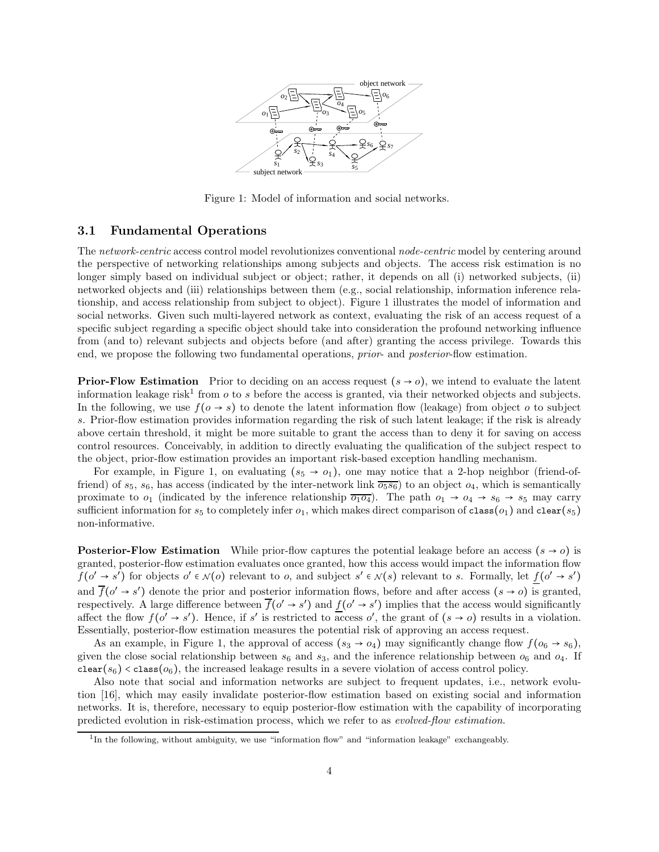

Figure 1: Model of information and social networks.

### 3.1 Fundamental Operations

The *network-centric* access control model revolutionizes conventional *node-centric* model by centering around the perspective of networking relationships among subjects and objects. The access risk estimation is no longer simply based on individual subject or object; rather, it depends on all (i) networked subjects, (ii) networked objects and (iii) relationships between them (e.g., social relationship, information inference relationship, and access relationship from subject to object). Figure 1 illustrates the model of information and social networks. Given such multi-layered network as context, evaluating the risk of an access request of a specific subject regarding a specific object should take into consideration the profound networking influence from (and to) relevant subjects and objects before (and after) granting the access privilege. Towards this end, we propose the following two fundamental operations, *prior*- and *posterior*-flow estimation.

**Prior-Flow Estimation** Prior to deciding on an access request  $(s \rightarrow o)$ , we intend to evaluate the latent information leakage risk<sup>1</sup> from  $o$  to  $s$  before the access is granted, via their networked objects and subjects. In the following, we use  $f(o \rightarrow s)$  to denote the latent information flow (leakage) from object o to subject s. Prior-flow estimation provides information regarding the risk of such latent leakage; if the risk is already above certain threshold, it might be more suitable to grant the access than to deny it for saving on access control resources. Conceivably, in addition to directly evaluating the qualification of the subject respect to the object, prior-flow estimation provides an important risk-based exception handling mechanism.

For example, in Figure 1, on evaluating  $(s_5 \rightarrow o_1)$ , one may notice that a 2-hop neighbor (friend-offriend) of  $s_5$ ,  $s_6$ , has access (indicated by the inter-network link  $\overline{o_5s_6}$ ) to an object  $o_4$ , which is semantically proximate to  $o_1$  (indicated by the inference relationship  $\overline{o_1o_4}$ ). The path  $o_1 \rightarrow o_4 \rightarrow s_6 \rightarrow s_5$  may carry sufficient information for  $s_5$  to completely infer  $o_1$ , which makes direct comparison of class( $o_1$ ) and clear( $s_5$ ) non-informative.

**Posterior-Flow Estimation** While prior-flow captures the potential leakage before an access  $(s \rightarrow o)$  is granted, posterior-flow estimation evaluates once granted, how this access would impact the information flow  $f(o' \rightarrow s')$  for objects  $o' \in \mathcal{N}(o)$  relevant to o, and subject  $s' \in \mathcal{N}(s)$  relevant to s. Formally, let  $\underline{f}(o' \rightarrow s')$ and  $\overline{f}(o' \rightarrow s')$  denote the prior and posterior information flows, before and after access  $(s \rightarrow o)$  is granted, respectively. A large difference between  $\overline{f}(o' \to s')$  and  $\underline{f}(o' \to s')$  implies that the access would significantly affect the flow  $f(o' \rightarrow s')$ . Hence, if s' is restricted to access o', the grant of  $(s \rightarrow o)$  results in a violation. Essentially, posterior-flow estimation measures the potential risk of approving an access request.

As an example, in Figure 1, the approval of access  $(s_3 \rightarrow o_4)$  may significantly change flow  $f(o_6 \rightarrow s_6)$ , given the close social relationship between  $s_6$  and  $s_3$ , and the inference relationship between  $o_6$  and  $o_4$ . If  $\text{clear}(s_6) < \text{class}(o_6)$ , the increased leakage results in a severe violation of access control policy.

Also note that social and information networks are subject to frequent updates, i.e., network evolution [16], which may easily invalidate posterior-flow estimation based on existing social and information networks. It is, therefore, necessary to equip posterior-flow estimation with the capability of incorporating predicted evolution in risk-estimation process, which we refer to as *evolved-flow estimation*.

<sup>&</sup>lt;sup>1</sup>In the following, without ambiguity, we use "information flow" and "information leakage" exchangeably.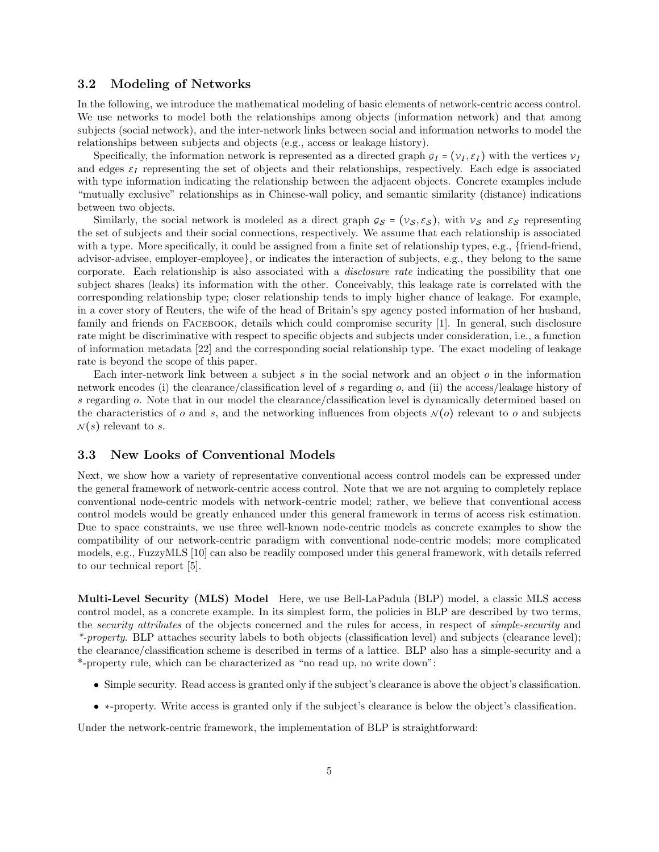### 3.2 Modeling of Networks

In the following, we introduce the mathematical modeling of basic elements of network-centric access control. We use networks to model both the relationships among objects (information network) and that among subjects (social network), and the inter-network links between social and information networks to model the relationships between subjects and objects (e.g., access or leakage history).

Specifically, the information network is represented as a directed graph  $g_I = (\nu_I, \varepsilon_I)$  with the vertices  $\nu_I$ and edges  $\varepsilon_I$  representing the set of objects and their relationships, respectively. Each edge is associated with type information indicating the relationship between the adjacent objects. Concrete examples include "mutually exclusive" relationships as in Chinese-wall policy, and semantic similarity (distance) indications between two objects.

Similarly, the social network is modeled as a direct graph  $g_S = (v_S, \varepsilon_S)$ , with  $v_S$  and  $\varepsilon_S$  representing the set of subjects and their social connections, respectively. We assume that each relationship is associated with a type. More specifically, it could be assigned from a finite set of relationship types, e.g., {friend-friend, advisor-advisee, employer-employee}, or indicates the interaction of subjects, e.g., they belong to the same corporate. Each relationship is also associated with a *disclosure rate* indicating the possibility that one subject shares (leaks) its information with the other. Conceivably, this leakage rate is correlated with the corresponding relationship type; closer relationship tends to imply higher chance of leakage. For example, in a cover story of Reuters, the wife of the head of Britain's spy agency posted information of her husband, family and friends on FACEBOOK, details which could compromise security [1]. In general, such disclosure rate might be discriminative with respect to specific objects and subjects under consideration, i.e., a function of information metadata [22] and the corresponding social relationship type. The exact modeling of leakage rate is beyond the scope of this paper.

Each inter-network link between a subject s in the social network and an object  $o$  in the information network encodes (i) the clearance/classification level of s regarding o, and (ii) the access/leakage history of s regarding o. Note that in our model the clearance/classification level is dynamically determined based on the characteristics of o and s, and the networking influences from objects  $N(o)$  relevant to o and subjects  $\mathcal{N}(s)$  relevant to s.

### 3.3 New Looks of Conventional Models

Next, we show how a variety of representative conventional access control models can be expressed under the general framework of network-centric access control. Note that we are not arguing to completely replace conventional node-centric models with network-centric model; rather, we believe that conventional access control models would be greatly enhanced under this general framework in terms of access risk estimation. Due to space constraints, we use three well-known node-centric models as concrete examples to show the compatibility of our network-centric paradigm with conventional node-centric models; more complicated models, e.g., FuzzyMLS [10] can also be readily composed under this general framework, with details referred to our technical report [5].

Multi-Level Security (MLS) Model Here, we use Bell-LaPadula (BLP) model, a classic MLS access control model, as a concrete example. In its simplest form, the policies in BLP are described by two terms, the *security attributes* of the objects concerned and the rules for access, in respect of *simple-security* and *\*-property*. BLP attaches security labels to both objects (classification level) and subjects (clearance level); the clearance/classification scheme is described in terms of a lattice. BLP also has a simple-security and a \*-property rule, which can be characterized as "no read up, no write down":

- Simple security. Read access is granted only if the subject's clearance is above the object's classification.
- ∗-property. Write access is granted only if the subject's clearance is below the object's classification.

Under the network-centric framework, the implementation of BLP is straightforward: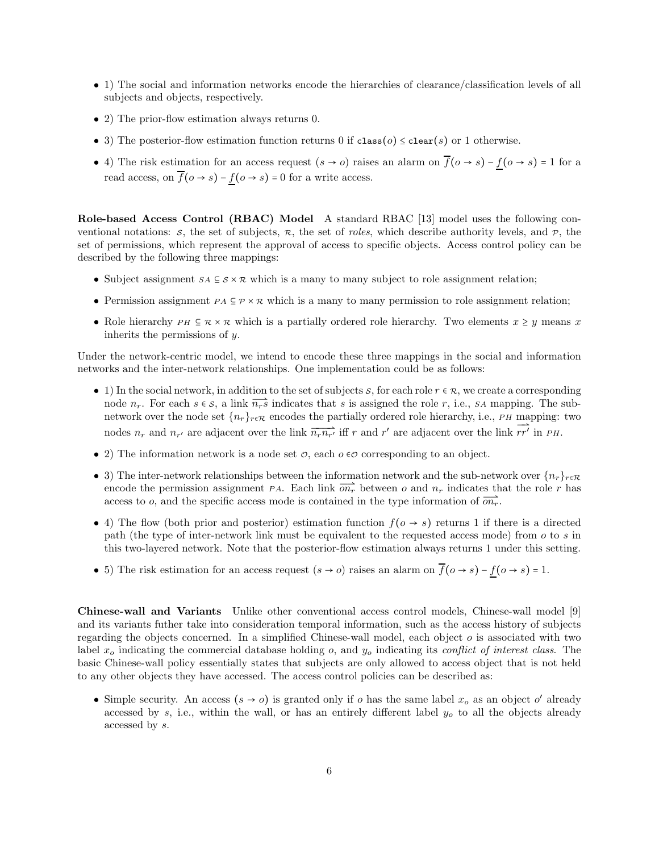- 1) The social and information networks encode the hierarchies of clearance/classification levels of all subjects and objects, respectively.
- 2) The prior-flow estimation always returns 0.
- 3) The posterior-flow estimation function returns 0 if class( $o$ )  $\leq$  clear(s) or 1 otherwise.
- 4) The risk estimation for an access request  $(s \to o)$  raises an alarm on  $\overline{f}(o \to s) f(o \to s) = 1$  for a read access, on  $\overline{f}(o \to s) - f(o \to s) = 0$  for a write access.

Role-based Access Control (RBAC) Model A standard RBAC [13] model uses the following conventional notations: s, the set of subjects,  $\pi$ , the set of *roles*, which describe authority levels, and  $\pi$ , the set of permissions, which represent the approval of access to specific objects. Access control policy can be described by the following three mappings:

- Subject assignment  $s_A \subseteq s \times \mathcal{R}$  which is a many to many subject to role assignment relation;
- Permission assignment  $PA \subseteq \mathcal{P} \times \mathcal{R}$  which is a many to many permission to role assignment relation;
- Role hierarchy  $PH \subseteq \mathcal{R} \times \mathcal{R}$  which is a partially ordered role hierarchy. Two elements  $x \geq y$  means x inherits the permissions of  $y$ .

Under the network-centric model, we intend to encode these three mappings in the social and information networks and the inter-network relationships. One implementation could be as follows:

- 1) In the social network, in addition to the set of subjects s, for each role  $r \in \mathcal{R}$ , we create a corresponding node  $n_r$ . For each  $s \in S$ , a link  $\overrightarrow{n_r s}$  indicates that s is assigned the role r, i.e., SA mapping. The subnetwork over the node set  $\{n_r\}_{r \in \mathcal{R}}$  encodes the partially ordered role hierarchy, i.e., PH mapping: two nodes  $n_r$  and  $n_{r'}$  are adjacent over the link  $\overline{n_r n_{r'}}$  iff r and r' are adjacent over the link  $\overline{rr'}$  in PH.
- 2) The information network is a node set  $\mathcal{O}$ , each  $o \in \mathcal{O}$  corresponding to an object.
- 3) The inter-network relationships between the information network and the sub-network over  $\{n_r\}_{r \in \mathcal{R}}$ encode the permission assignment PA. Each link  $\overline{on_r}$  between o and  $n_r$  indicates that the role r has access to o, and the specific access mode is contained in the type information of  $\overline{on_r}$ .
- 4) The flow (both prior and posterior) estimation function  $f(\sigma \to s)$  returns 1 if there is a directed path (the type of inter-network link must be equivalent to the requested access mode) from o to s in this two-layered network. Note that the posterior-flow estimation always returns 1 under this setting.
- 5) The risk estimation for an access request  $(s \to o)$  raises an alarm on  $\overline{f}(o \to s) f(o \to s) = 1$ .

Chinese-wall and Variants Unlike other conventional access control models, Chinese-wall model [9] and its variants futher take into consideration temporal information, such as the access history of subjects regarding the objects concerned. In a simplified Chinese-wall model, each object  $\sigma$  is associated with two label  $x<sub>o</sub>$  indicating the commercial database holding  $o$ , and  $y<sub>o</sub>$  indicating its *conflict of interest class*. The basic Chinese-wall policy essentially states that subjects are only allowed to access object that is not held to any other objects they have accessed. The access control policies can be described as:

• Simple security. An access  $(s \to o)$  is granted only if o has the same label  $x_o$  as an object o' already accessed by s, i.e., within the wall, or has an entirely different label  $y<sub>o</sub>$  to all the objects already accessed by s.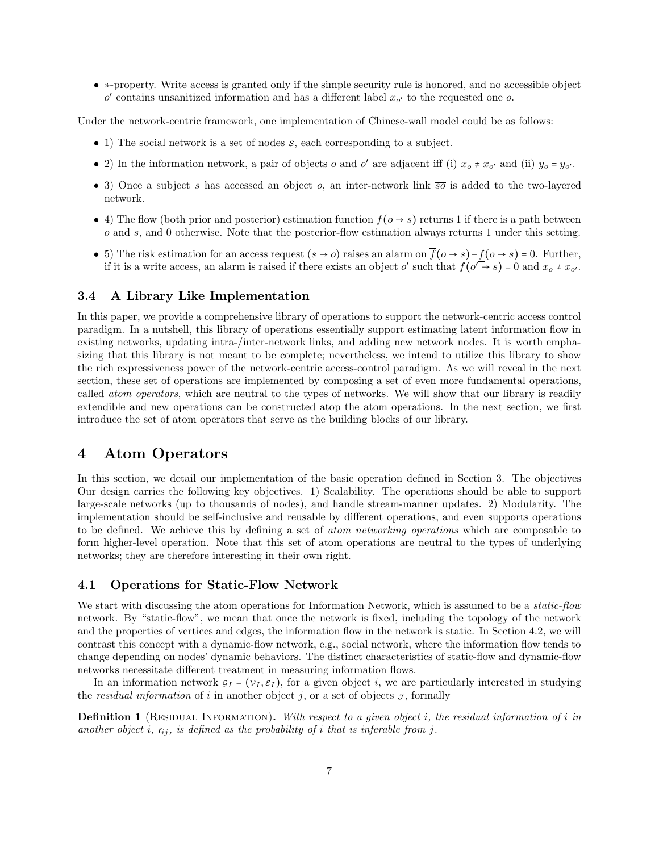• ∗-property. Write access is granted only if the simple security rule is honored, and no accessible object  $o'$  contains unsanitized information and has a different label  $x_{o'}$  to the requested one  $o$ .

Under the network-centric framework, one implementation of Chinese-wall model could be as follows:

- 1) The social network is a set of nodes  $s$ , each corresponding to a subject.
- 2) In the information network, a pair of objects o and o' are adjacent iff (i)  $x_o \neq x_{o'}$  and (ii)  $y_o = y_{o'}$ .
- 3) Once a subject s has accessed an object o, an inter-network link  $\overline{s}\overline{o}$  is added to the two-layered network.
- 4) The flow (both prior and posterior) estimation function  $f(\sigma \rightarrow s)$  returns 1 if there is a path between o and s, and 0 otherwise. Note that the posterior-flow estimation always returns 1 under this setting.
- 5) The risk estimation for an access request  $(s \to o)$  raises an alarm on  $\overline{f}(o \to s) f(o \to s) = 0$ . Further, if it is a write access, an alarm is raised if there exists an object o' such that  $f(\overline{o'} \rightarrow s) = 0$  and  $x_o \neq x_{o'}$ .

### 3.4 A Library Like Implementation

In this paper, we provide a comprehensive library of operations to support the network-centric access control paradigm. In a nutshell, this library of operations essentially support estimating latent information flow in existing networks, updating intra-/inter-network links, and adding new network nodes. It is worth emphasizing that this library is not meant to be complete; nevertheless, we intend to utilize this library to show the rich expressiveness power of the network-centric access-control paradigm. As we will reveal in the next section, these set of operations are implemented by composing a set of even more fundamental operations, called *atom operators*, which are neutral to the types of networks. We will show that our library is readily extendible and new operations can be constructed atop the atom operations. In the next section, we first introduce the set of atom operators that serve as the building blocks of our library.

## 4 Atom Operators

In this section, we detail our implementation of the basic operation defined in Section 3. The objectives Our design carries the following key objectives. 1) Scalability. The operations should be able to support large-scale networks (up to thousands of nodes), and handle stream-manner updates. 2) Modularity. The implementation should be self-inclusive and reusable by different operations, and even supports operations to be defined. We achieve this by defining a set of *atom networking operations* which are composable to form higher-level operation. Note that this set of atom operations are neutral to the types of underlying networks; they are therefore interesting in their own right.

### 4.1 Operations for Static-Flow Network

We start with discussing the atom operations for Information Network, which is assumed to be a *static-flow* network. By "static-flow", we mean that once the network is fixed, including the topology of the network and the properties of vertices and edges, the information flow in the network is static. In Section 4.2, we will contrast this concept with a dynamic-flow network, e.g., social network, where the information flow tends to change depending on nodes' dynamic behaviors. The distinct characteristics of static-flow and dynamic-flow networks necessitate different treatment in measuring information flows.

In an information network  $g_I = (\nu_I, \varepsilon_I)$ , for a given object i, we are particularly interested in studying the *residual information* of i in another object j, or a set of objects  $\mathcal{J}$ , formally

Definition 1 (Residual Information). *With respect to a given object* i*, the residual information of* i *in another object i,*  $r_{ij}$ *, is defined as the probability of i that is inferable from j.*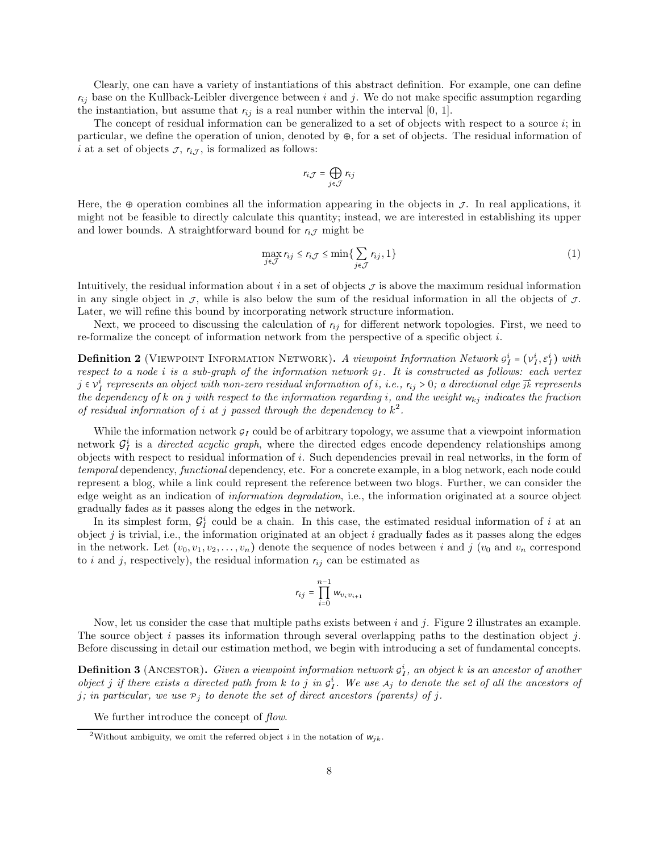Clearly, one can have a variety of instantiations of this abstract definition. For example, one can define  $r_{ij}$  base on the Kullback-Leibler divergence between i and j. We do not make specific assumption regarding the instantiation, but assume that  $r_{ij}$  is a real number within the interval [0, 1].

The concept of residual information can be generalized to a set of objects with respect to a source  $i$ ; in particular, we define the operation of union, denoted by ⊕, for a set of objects. The residual information of i at a set of objects  $\mathcal{I}, r_{i,\mathcal{I}},$  is formalized as follows:

$$
r_{i\mathcal{J}}=\bigoplus_{j\in\mathcal{J}}r_{ij}
$$

Here, the ⊕ operation combines all the information appearing in the objects in  $\mathcal{J}$ . In real applications, it might not be feasible to directly calculate this quantity; instead, we are interested in establishing its upper and lower bounds. A straightforward bound for  $r_{iJ}$  might be

$$
\max_{j \in \mathcal{J}} r_{ij} \le r_{i\mathcal{J}} \le \min \{ \sum_{j \in \mathcal{J}} r_{ij}, 1 \}
$$
\n(1)

Intuitively, the residual information about i in a set of objects  $\mathcal I$  is above the maximum residual information in any single object in  $\mathcal{J}$ , while is also below the sum of the residual information in all the objects of  $\mathcal{J}$ . Later, we will refine this bound by incorporating network structure information.

Next, we proceed to discussing the calculation of  $r_{ij}$  for different network topologies. First, we need to re-formalize the concept of information network from the perspective of a specific object i.

**Definition 2** (VIEWPOINT INFORMATION NETWORK). A viewpoint Information Network  $g_I^i = (v_I^i, \varepsilon_I^i)$  with *respect to a node i is a sub-graph of the information network*  $g_I$ . It is constructed as follows: each vertex  $j \in v_I^i$  represents an object with non-zero residual information of i, i.e.,  $r_{ij} > 0$ ; a directional edge  $\vec{jk}$  represents *the dependency of* k *on* j *with respect to the information regarding* i*, and the weight* wkj *indicates the fraction of residual information of i at j passed through the dependency to*  $k^2$ .

While the information network  $g_I$  could be of arbitrary topology, we assume that a viewpoint information network  $\mathcal{G}_I^i$  is a *directed acyclic graph*, where the directed edges encode dependency relationships among objects with respect to residual information of i. Such dependencies prevail in real networks, in the form of *temporal* dependency, *functional* dependency, etc. For a concrete example, in a blog network, each node could represent a blog, while a link could represent the reference between two blogs. Further, we can consider the edge weight as an indication of *information degradation*, i.e., the information originated at a source object gradually fades as it passes along the edges in the network.

In its simplest form,  $\mathcal{G}_I^i$  could be a chain. In this case, the estimated residual information of i at an object j is trivial, i.e., the information originated at an object i gradually fades as it passes along the edges in the network. Let  $(v_0, v_1, v_2, \ldots, v_n)$  denote the sequence of nodes between i and j  $(v_0$  and  $v_n$  correspond to i and j, respectively), the residual information  $r_{ij}$  can be estimated as

$$
r_{ij}=\prod_{i=0}^{n-1}w_{v_iv_{i+1}}
$$

Now, let us consider the case that multiple paths exists between  $i$  and  $j$ . Figure 2 illustrates an example. The source object i passes its information through several overlapping paths to the destination object j. Before discussing in detail our estimation method, we begin with introducing a set of fundamental concepts.

**Definition 3** (ANCESTOR). *Given a viewpoint information network*  $g_I^i$ , an object k is an ancestor of another *object j* if there exists a directed path from k to j in  $g_I^i$ . We use  $A_j$  to denote the set of all the ancestors of *j*; in particular, we use  $P_j$  to denote the set of direct ancestors (parents) of j.

We further introduce the concept of *flow*.

<sup>&</sup>lt;sup>2</sup>Without ambiguity, we omit the referred object i in the notation of  $w_{jk}$ .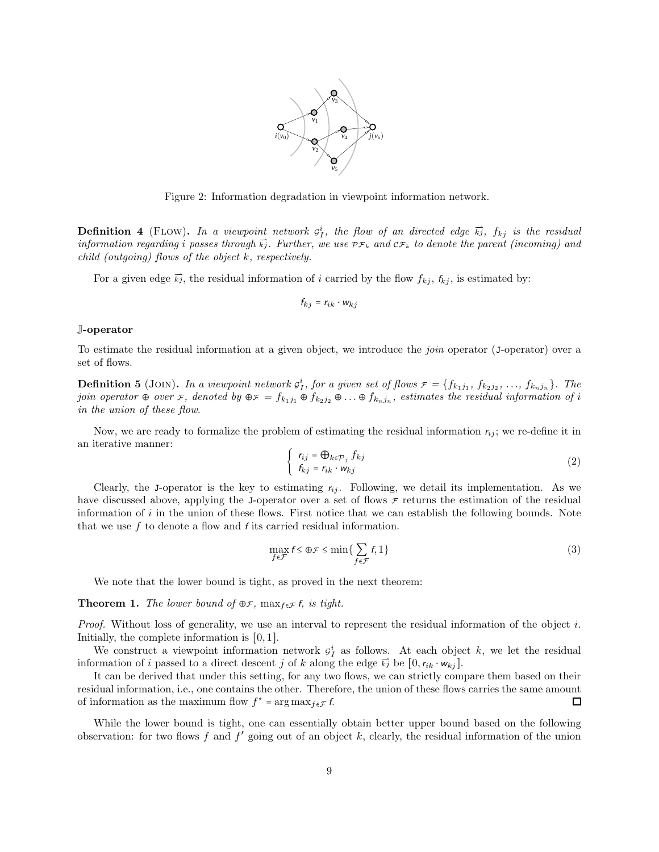

Figure 2: Information degradation in viewpoint information network.

**Definition 4** (FLOW). In a viewpoint network  $g_I^i$ , the flow of an directed edge  $\vec{k}_j$ ,  $f_{kj}$  is the residual *information regarding i* passes through  $\vec{k}$ <sub>j</sub>. Further, we use  $p_{\mathcal{F}_k}$  and  $c_{\mathcal{F}_k}$  to denote the parent (incoming) and *child (outgoing) flows of the object* k*, respectively.*

For a given edge  $\vec{k}_j$ , the residual information of i carried by the flow  $f_{kj}$ ,  $f_{kj}$ , is estimated by:

$$
f_{kj} = r_{ik} \cdot w_{kj}
$$

#### J-operator

To estimate the residual information at a given object, we introduce the *join* operator (J-operator) over a set of flows.

**Definition 5** (JOIN). In a viewpoint network  $g_1^i$ , for a given set of flows  $\mathcal{F} = \{f_{k_1j_1}, f_{k_2j_2}, \ldots, f_{k_nj_n}\}$ . The *join operator*  $\oplus$  *over*  $\tau$ , denoted by  $\oplus \tau = f_{k_1j_1} \oplus f_{k_2j_2} \oplus \ldots \oplus f_{k_nj_n}$ , estimates the residual information of i *in the union of these flow.*

Now, we are ready to formalize the problem of estimating the residual information  $r_{ij}$ ; we re-define it in an iterative manner:

$$
\begin{cases}\n r_{ij} = \bigoplus_{k \in \mathcal{P}_j} f_{kj} \\
 f_{kj} = r_{ik} \cdot w_{kj}\n\end{cases}
$$
\n(2)

Clearly, the J-operator is the key to estimating  $r_{ij}$ . Following, we detail its implementation. As we have discussed above, applying the J-operator over a set of flows  $\tau$  returns the estimation of the residual information of  $i$  in the union of these flows. First notice that we can establish the following bounds. Note that we use  $f$  to denote a flow and  $f$  its carried residual information.

$$
\max_{f \in \mathcal{F}} f \leq \bigoplus \mathcal{F} \leq \min \{ \sum_{f \in \mathcal{F}} f, 1 \} \tag{3}
$$

We note that the lower bound is tight, as proved in the next theorem:

**Theorem 1.** *The lower bound of*  $\oplus$ *F*, max $_{f \in \mathcal{F}}$ *f, is tight.* 

*Proof.* Without loss of generality, we use an interval to represent the residual information of the object i. Initially, the complete information is [0, 1].

We construct a viewpoint information network  $g_I^i$  as follows. At each object k, we let the residual information of i passed to a direct descent j of k along the edge  $\vec{k}_j$  be  $[0,r_{ik} \cdot w_{ki}]$ .

It can be derived that under this setting, for any two flows, we can strictly compare them based on their residual information, i.e., one contains the other. Therefore, the union of these flows carries the same amount of information as the maximum flow  $f^* = \arg \max_{f \in \mathcal{F}} f$ .  $\Box$ 

While the lower bound is tight, one can essentially obtain better upper bound based on the following observation: for two flows f and  $f'$  going out of an object k, clearly, the residual information of the union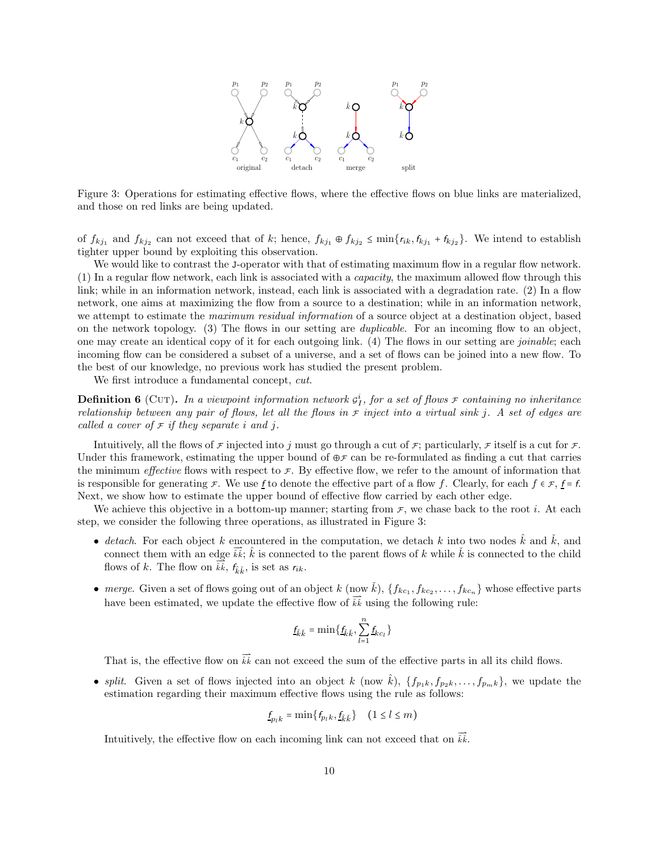

Figure 3: Operations for estimating effective flows, where the effective flows on blue links are materialized, and those on red links are being updated.

of  $f_{kj_1}$  and  $f_{kj_2}$  can not exceed that of k; hence,  $f_{kj_1} \oplus f_{kj_2} \le \min\{r_{ik}, f_{kj_1} + f_{kj_2}\}\.$  We intend to establish tighter upper bound by exploiting this observation.

We would like to contrast the J-operator with that of estimating maximum flow in a regular flow network. (1) In a regular flow network, each link is associated with a *capacity*, the maximum allowed flow through this link; while in an information network, instead, each link is associated with a degradation rate. (2) In a flow network, one aims at maximizing the flow from a source to a destination; while in an information network, we attempt to estimate the *maximum residual information* of a source object at a destination object, based on the network topology. (3) The flows in our setting are *duplicable*. For an incoming flow to an object, one may create an identical copy of it for each outgoing link. (4) The flows in our setting are *joinable*; each incoming flow can be considered a subset of a universe, and a set of flows can be joined into a new flow. To the best of our knowledge, no previous work has studied the present problem.

We first introduce a fundamental concept, *cut*.

**Definition 6** (CUT). In a viewpoint information network  $g_I^i$ , for a set of flows  $\tau$  containing no inheritance *relationship between any pair of flows, let all the flows in*  $\bar{r}$  *inject into a virtual sink* j. A set of edges are *called a cover of*  $\mathcal F$  *if they separate i* and *j*.

Intuitively, all the flows of  $\mathcal F$  injected into j must go through a cut of  $\mathcal F$ ; particularly,  $\mathcal F$  itself is a cut for  $\mathcal F$ . Under this framework, estimating the upper bound of  $\oplus \mathcal{F}$  can be re-formulated as finding a cut that carries the minimum *effective* flows with respect to  $\mathcal{F}$ . By effective flow, we refer to the amount of information that is responsible for generating  $\mathcal F$ . We use f to denote the effective part of a flow f. Clearly, for each  $f \in \mathcal F$ ,  $f = f$ . Next, we show how to estimate the upper bound of effective flow carried by each other edge.

We achieve this objective in a bottom-up manner; starting from  $\tau$ , we chase back to the root *i*. At each step, we consider the following three operations, as illustrated in Figure 3:

- *detach*. For each object k encountered in the computation, we detach k into two nodes  $\vec{k}$  and  $\vec{k}$ , and connect them with an edge  $\overrightarrow{k}$ ;  $\hat{k}$  is connected to the parent flows of k while  $\check{k}$  is connected to the child flows of k. The flow on  $\overrightarrow{\tilde{k}}$ ,  $f_{\tilde{k}}$ , is set as  $r_{ik}$ .
- *merge*. Given a set of flows going out of an object k (now  $\check{k}$ ),  $\{f_{kc_1}, f_{kc_2}, \ldots, f_{kc_n}\}$  whose effective parts have been estimated, we update the effective flow of  $\vec{k}\vec{k}$  using the following rule:

$$
\underline{f}_{\hat{k}\check{k}} = \min\big\{\underline{f}_{\hat{k}\check{k}}, \sum_{l=1}^n \underline{f}_{kc_l}\big\}
$$

That is, the effective flow on  $\vec{k}\vec{k}$  can not exceed the sum of the effective parts in all its child flows.

• *split.* Given a set of flows injected into an object k (now  $\hat{k}$ ),  $\{f_{p1k}, f_{p2k}, \ldots, f_{pmk}\}\)$ , we update the estimation regarding their maximum effective flows using the rule as follows:

$$
\underline{f}_{p_lk} = \min\big\{f_{p_lk},\underline{f}_{\hat{k}\check{k}}\big\} \quad \big(1\leq l\leq m\big)
$$

Intuitively, the effective flow on each incoming link can not exceed that on  $\overrightarrow{\hat{k}}$ .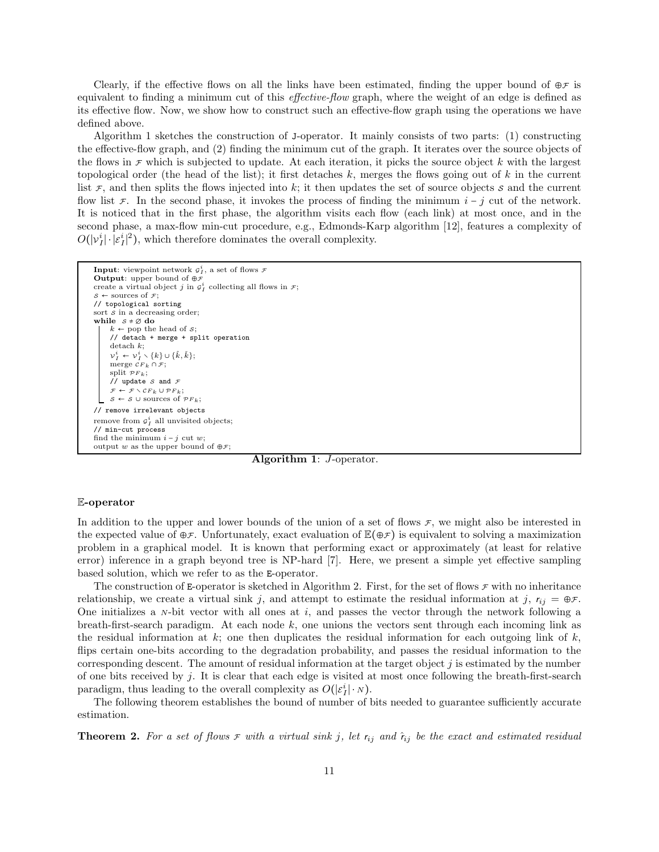Clearly, if the effective flows on all the links have been estimated, finding the upper bound of  $\oplus \mathcal{F}$  is equivalent to finding a minimum cut of this *effective-flow* graph, where the weight of an edge is defined as its effective flow. Now, we show how to construct such an effective-flow graph using the operations we have defined above.

Algorithm 1 sketches the construction of J-operator. It mainly consists of two parts: (1) constructing the effective-flow graph, and (2) finding the minimum cut of the graph. It iterates over the source objects of the flows in  $\tau$  which is subjected to update. At each iteration, it picks the source object k with the largest topological order (the head of the list); it first detaches  $k$ , merges the flows going out of k in the current list  $\mathcal F$ , and then splits the flows injected into k; it then updates the set of source objects s and the current flow list  $\mathcal F$ . In the second phase, it invokes the process of finding the minimum  $i - j$  cut of the network. It is noticed that in the first phase, the algorithm visits each flow (each link) at most once, and in the second phase, a max-flow min-cut procedure, e.g., Edmonds-Karp algorithm [12], features a complexity of  $O(|v_I^i| \cdot |\varepsilon_I^i|^2)$ , which therefore dominates the overall complexity.

```
Input: viewpoint network g_I^i, a set of flows \mathcal FOutput: upper bound of opluscreate a virtual object j in g_I^i collecting all flows in \mathcal{F};
s \leftarrow sources of \mathcal{F};
// topological sorting
sort \overline{s} in a decreasing order;
while s \neq \emptyset do
        ← pop the head of s;
      // detach + merge + split operation
      detach k;
      v_I^i \leftarrow v_I^i \setminus \{k\} \cup \{\hat{k}, \check{k}\};merge CF_k \cap \mathcal{F};
      split \mathcal{P}F_k;
      // update S and \mathcal F\mathcal{F} \leftarrow \mathcal{F} \smallsetminus \mathcal{C} F_k \cup \mathcal{P} F_kS \leftarrow S \cup sources of \mathcal{P}F_k;
// remove irrelevant objects
remove from g_I^i all unvisited objects;
// min-cut process
find the minimum i - i cut w;
output w as the upper bound of \oplus \mathcal{F};
```
Algorithm 1: J-operator.

### E-operator

In addition to the upper and lower bounds of the union of a set of flows  $\mathcal{F}$ , we might also be interested in the expected value of  $\oplus \mathcal{F}$ . Unfortunately, exact evaluation of  $\mathbb{E}(\oplus \mathcal{F})$  is equivalent to solving a maximization problem in a graphical model. It is known that performing exact or approximately (at least for relative error) inference in a graph beyond tree is NP-hard [7]. Here, we present a simple yet effective sampling based solution, which we refer to as the E-operator.

The construction of E-operator is sketched in Algorithm 2. First, for the set of flows  $\tau$  with no inheritance relationship, we create a virtual sink j, and attempt to estimate the residual information at j,  $r_{ij} = \oplus \mathcal{F}$ . One initializes a  $N$ -bit vector with all ones at i, and passes the vector through the network following a breath-first-search paradigm. At each node  $k$ , one unions the vectors sent through each incoming link as the residual information at  $k$ ; one then duplicates the residual information for each outgoing link of  $k$ , flips certain one-bits according to the degradation probability, and passes the residual information to the corresponding descent. The amount of residual information at the target object  $j$  is estimated by the number of one bits received by j. It is clear that each edge is visited at most once following the breath-first-search paradigm, thus leading to the overall complexity as  $O(|\varepsilon_I^i| \cdot \mathbf{N}).$ 

The following theorem establishes the bound of number of bits needed to guarantee sufficiently accurate estimation.

**Theorem 2.** For a set of flows  $\tau$  with a virtual sink j, let  $r_{ij}$  and  $\hat{r}_{ij}$  be the exact and estimated residual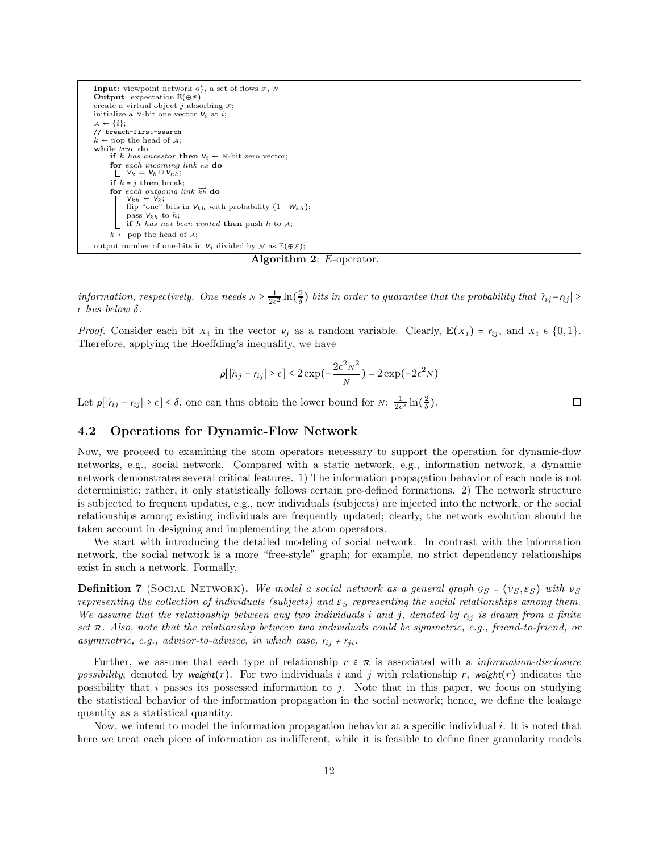

Algorithm 2: E-operator.

*information, respectively. One needs*  $N \geq \frac{1}{2\epsilon^2} \ln(\frac{2}{\delta})$  *bits in order to guarantee that the probability that*  $|\hat{r}_{ij} - r_{ij}| \geq$  $\epsilon$  *lies below*  $\delta$ .

*Proof.* Consider each bit  $x_i$  in the vector  $v_j$  as a random variable. Clearly,  $\mathbb{E}(x_i) = r_{ij}$ , and  $x_i \in \{0, 1\}$ . Therefore, applying the Hoeffding's inequality, we have

$$
p[\left|\hat{r}_{ij} - r_{ij}\right| \ge \epsilon] \le 2 \exp\left(-\frac{2\epsilon^2 N^2}{N}\right) = 2 \exp\left(-2\epsilon^2 N\right)
$$

Let  $p[|\hat{r}_{ij} - r_{ij}| \ge \epsilon] \le \delta$ , one can thus obtain the lower bound for  $N: \frac{1}{2\epsilon^2} \ln(\frac{2}{\delta})$ .

### 4.2 Operations for Dynamic-Flow Network

Now, we proceed to examining the atom operators necessary to support the operation for dynamic-flow networks, e.g., social network. Compared with a static network, e.g., information network, a dynamic network demonstrates several critical features. 1) The information propagation behavior of each node is not deterministic; rather, it only statistically follows certain pre-defined formations. 2) The network structure is subjected to frequent updates, e.g., new individuals (subjects) are injected into the network, or the social relationships among existing individuals are frequently updated; clearly, the network evolution should be taken account in designing and implementing the atom operators.

We start with introducing the detailed modeling of social network. In contrast with the information network, the social network is a more "free-style" graph; for example, no strict dependency relationships exist in such a network. Formally,

**Definition 7** (SOCIAL NETWORK). We model a social network as a general graph  $g_S = (v_S, \varepsilon_S)$  with  $v_S$ *representing the collection of individuals (subjects) and*  $\varepsilon_S$  *representing the social relationships among them. We assume that the relationship between any two individuals* i *and* j*, denoted by* rij *is drawn from a finite set* <sup>R</sup>*. Also, note that the relationship between two individuals could be symmetric, e.g., friend-to-friend, or asymmetric, e.g., advisor-to-advisee, in which case,*  $r_{ij} \neq r_{ji}$ .

Further, we assume that each type of relationship r ∈ <sup>R</sup> is associated with a *information-disclosure possibility*, denoted by weight(r). For two individuals i and j with relationship r, weight(r) indicates the possibility that i passes its possessed information to j. Note that in this paper, we focus on studying the statistical behavior of the information propagation in the social network; hence, we define the leakage quantity as a statistical quantity.

Now, we intend to model the information propagation behavior at a specific individual i. It is noted that here we treat each piece of information as indifferent, while it is feasible to define finer granularity models

 $\Box$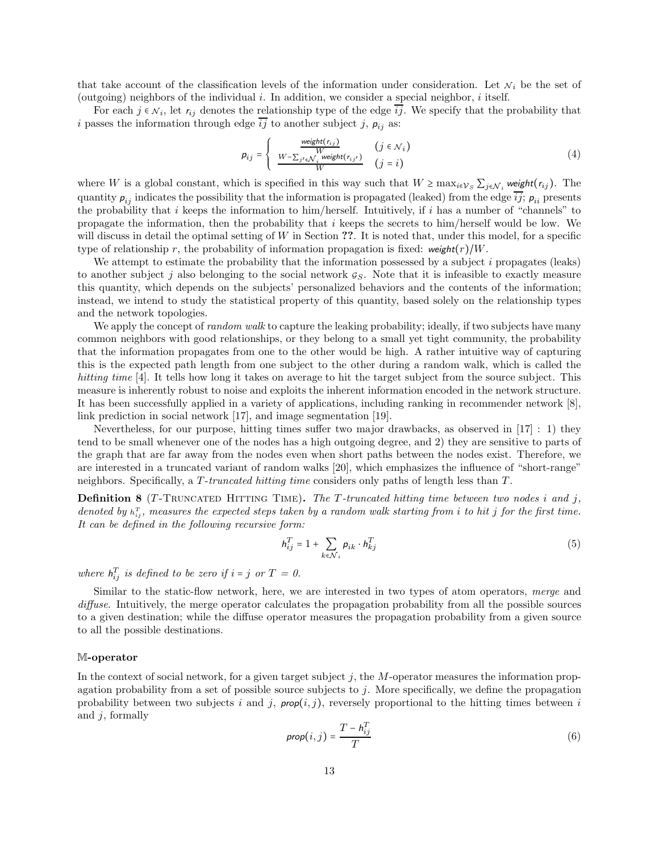that take account of the classification levels of the information under consideration. Let  $N_i$  be the set of (outgoing) neighbors of the individual i. In addition, we consider a special neighbor, i itself.

For each  $j \in \mathcal{N}_i$ , let  $r_{ij}$  denotes the relationship type of the edge  $\overline{ij}$ . We specify that the probability that i passes the information through edge  $\overline{ij}$  to another subject j,  $p_{ij}$  as:

$$
p_{ij} = \begin{cases} \frac{\text{weight}(r_{ij})}{W} & (j \in \mathcal{N}_i) \\ \frac{W - \sum_{j' \in \mathcal{N}_i} \text{weight}(r_{ij'})}{W} & (j = i) \end{cases}
$$
(4)

where W is a global constant, which is specified in this way such that  $W \ge \max_{i \in \mathcal{V}_S} \sum_{j \in \mathcal{N}_i}$  weight $(r_{ij})$ . The quantity  $p_{ij}$  indicates the possibility that the information is propagated (leaked) from the edge  $\overline{ij}$ ;  $p_{ii}$  presents the probability that i keeps the information to him/herself. Intuitively, if i has a number of "channels" to propagate the information, then the probability that  $i$  keeps the secrets to him/herself would be low. We will discuss in detail the optimal setting of  $W$  in Section ??. It is noted that, under this model, for a specific type of relationship r, the probability of information propagation is fixed: weight $(r)/W$ .

We attempt to estimate the probability that the information possessed by a subject i propagates (leaks) to another subject j also belonging to the social network  $g_S$ . Note that it is infeasible to exactly measure this quantity, which depends on the subjects' personalized behaviors and the contents of the information; instead, we intend to study the statistical property of this quantity, based solely on the relationship types and the network topologies.

We apply the concept of *random walk* to capture the leaking probability; ideally, if two subjects have many common neighbors with good relationships, or they belong to a small yet tight community, the probability that the information propagates from one to the other would be high. A rather intuitive way of capturing this is the expected path length from one subject to the other during a random walk, which is called the *hitting time* [4]. It tells how long it takes on average to hit the target subject from the source subject. This measure is inherently robust to noise and exploits the inherent information encoded in the network structure. It has been successfully applied in a variety of applications, including ranking in recommender network [8], link prediction in social network [17], and image segmentation [19].

Nevertheless, for our purpose, hitting times suffer two major drawbacks, as observed in [17] : 1) they tend to be small whenever one of the nodes has a high outgoing degree, and 2) they are sensitive to parts of the graph that are far away from the nodes even when short paths between the nodes exist. Therefore, we are interested in a truncated variant of random walks [20], which emphasizes the influence of "short-range" neighbors. Specifically, a T -*truncated hitting time* considers only paths of length less than T .

**Definition 8** (T-TRUNCATED HITTING TIME). The T-truncated hitting time between two nodes i and j, denoted by  $h_{ij}^T$ , measures the expected steps taken by a random walk starting from i to hit j for the first time. *It can be defined in the following recursive form:*

$$
h_{ij}^T = 1 + \sum_{k \in \mathcal{N}_i} p_{ik} \cdot h_{kj}^T
$$
\n(5)

where  $h_{ij}^T$  is defined to be zero if  $i = j$  or  $T = 0$ .

Similar to the static-flow network, here, we are interested in two types of atom operators, *merge* and *diffuse*. Intuitively, the merge operator calculates the propagation probability from all the possible sources to a given destination; while the diffuse operator measures the propagation probability from a given source to all the possible destinations.

#### M-operator

In the context of social network, for a given target subject  $j$ , the  $M$ -operator measures the information propagation probability from a set of possible source subjects to j. More specifically, we define the propagation probability between two subjects i and j,  $prop(i, j)$ , reversely proportional to the hitting times between i and  $j$ , formally

$$
prop(i,j) = \frac{T - h_{ij}^T}{T}
$$
\n(6)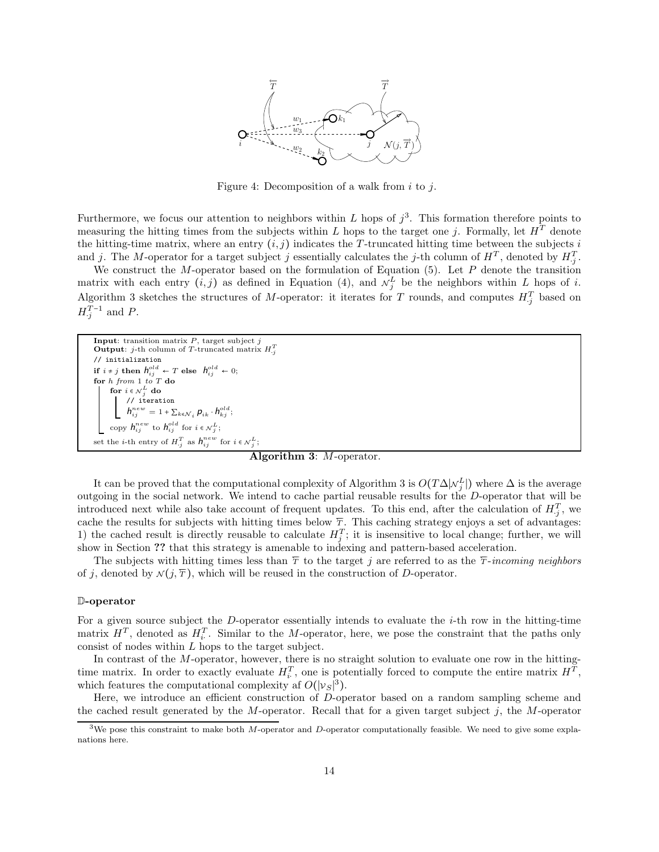

Figure 4: Decomposition of a walk from  $i$  to  $j$ .

Furthermore, we focus our attention to neighbors within L hops of  $j^3$ . This formation therefore points to measuring the hitting times from the subjects within L hops to the target one j. Formally, let  $H<sup>T</sup>$  denote the hitting-time matrix, where an entry  $(i, j)$  indicates the T-truncated hitting time between the subjects i and j. The M-operator for a target subject j essentially calculates the j-th column of  $H^T$ , denoted by  $H_j^T$ .

We construct the M-operator based on the formulation of Equation  $(5)$ . Let P denote the transition matrix with each entry  $(i, j)$  as defined in Equation (4), and  $\mathcal{N}_j^L$  be the neighbors within L hops of i. Algorithm 3 sketches the structures of M-operator: it iterates for T rounds, and computes  $H_{\cdot j}^T$  based on  $H^{T-1}_{\cdot j}$  and P.

Input: transition matrix  $P$ , target subject  $j$ Output: j-th column of T-truncated matrix  $H_{.j}^T$ // initialization  $\quad \text{if} \ \ i \neq j \ \text{then} \ \ \textit{h}^{old}_{ij} \, \leftarrow T \ \text{else} \quad \textit{h}^{old}_{ij} \, \leftarrow 0;$ for h from 1 to T do for  $i \in \mathcal{N}_j^L$  do<br>| // iteration  $h_{ij}^{new} = 1 + \sum_{k \in \mathcal{N}_i} p_{ik} \cdot h_{kj}^{old};$ copy  $h_{ij}^{new}$  to  $h_{ij}^{old}$  for  $i \in \mathcal{N}_j^L$ ; set the *i*-th entry of  $H_{\cdot j}^T$  as  $h_{ij}^{new}$  for  $i \in \mathcal{N}_j^L$ ;

Algorithm 3: M-operator.

It can be proved that the computational complexity of Algorithm 3 is  $O(T\Delta|\mathcal{N}_j^L|)$  where  $\Delta$  is the average outgoing in the social network. We intend to cache partial reusable results for the D-operator that will be introduced next while also take account of frequent updates. To this end, after the calculation of  $H_{j}^{T}$ , we cache the results for subjects with hitting times below  $\overline{r}$ . This caching strategy enjoys a set of advantages: 1) the cached result is directly reusable to calculate  $H_j^T$ ; it is insensitive to local change; further, we will show in Section ?? that this strategy is amenable to indexing and pattern-based acceleration.

The subjects with hitting times less than  $\overline{T}$  to the target j are referred to as the  $\overline{T}$ -*incoming neighbors* of j, denoted by  $\mathcal{N}(j, \overline{T})$ , which will be reused in the construction of D-operator.

#### D-operator

For a given source subject the D-operator essentially intends to evaluate the  $i$ -th row in the hitting-time matrix  $H^T$ , denoted as  $H_i^T$ . Similar to the M-operator, here, we pose the constraint that the paths only consist of nodes within L hops to the target subject.

In contrast of the M-operator, however, there is no straight solution to evaluate one row in the hittingtime matrix. In order to exactly evaluate  $H_i^T$ , one is potentially forced to compute the entire matrix  $H^T$ , which features the computational complexity af  $O(|v_S|^3)$ .

Here, we introduce an efficient construction of D-operator based on a random sampling scheme and the cached result generated by the M-operator. Recall that for a given target subject  $j$ , the M-operator

<sup>&</sup>lt;sup>3</sup>We pose this constraint to make both M-operator and D-operator computationally feasible. We need to give some explanations here.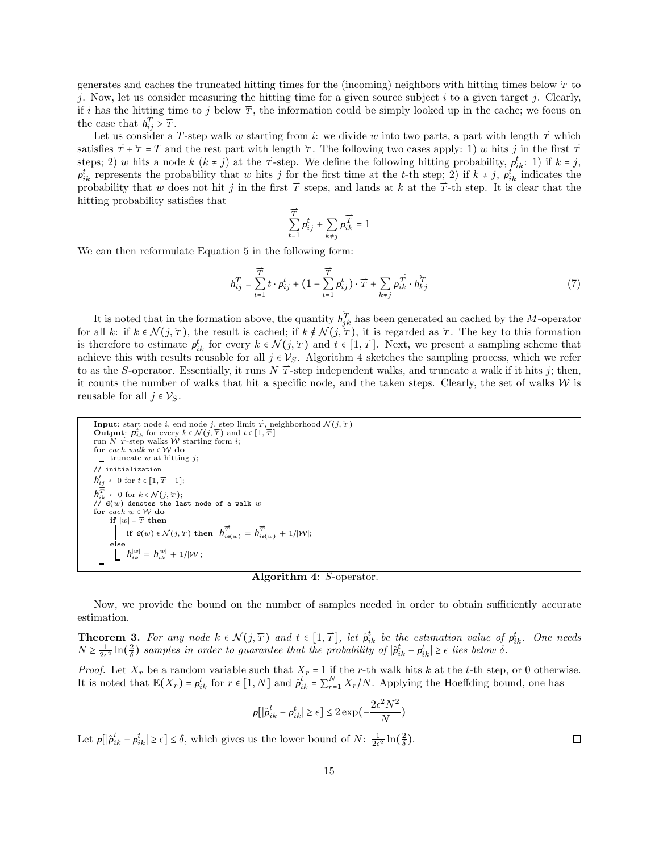generates and caches the truncated hitting times for the (incoming) neighbors with hitting times below  $\overline{T}$  to j. Now, let us consider measuring the hitting time for a given source subject  $i$  to a given target j. Clearly, if i has the hitting time to j below  $\overline{T}$ , the information could be simply looked up in the cache; we focus on the case that  $h_{ij}^T > \overline{T}$ .

Let us consider a T-step walk w starting from i: we divide w into two parts, a part with length  $\vec{T}$  which satisfies  $\vec{T} + \vec{T} = T$  and the rest part with length  $\vec{T}$ . The following two cases apply: 1) w hits j in the first  $\vec{T}$ steps; 2) w hits a node k  $(k \neq j)$  at the  $\vec{\tau}$ -step. We define the following hitting probability,  $p_{ik}^t$ : 1) if  $k = j$ ,  $p_{ik}^t$  represents the probability that w hits j for the first time at the t-th step; 2) if  $k \neq j$ ,  $p_{ik}^t$  indicates the probability that w does not hit j in the first  $\vec{T}$  steps, and lands at k at the  $\vec{T}$ -th step. It is clear that the hitting probability satisfies that

$$
\sum_{t=1}^{\overrightarrow{T}} \rho_{ij}^t + \sum_{k\neq j} \rho_{ik}^{\overrightarrow{T}} = 1
$$

We can then reformulate Equation 5 in the following form:

$$
h_{ij}^T = \sum_{t=1}^{\overrightarrow{T}} t \cdot p_{ij}^t + \left(1 - \sum_{t=1}^{\overrightarrow{T}} p_{ij}^t\right) \cdot \overrightarrow{T} + \sum_{k \neq j} p_{ik}^{\overrightarrow{T}} \cdot h_{kj}^{\overleftarrow{T}} \tag{7}
$$

It is noted that in the formation above, the quantity  $h_{jk}^{\overline{T}}$  has been generated an cached by the M-operator for all k: if  $k \in \mathcal{N}(j, \overline{T})$ , the result is cached; if  $k \notin \mathcal{N}(j, \overline{T})$ , it is regarded as  $\overline{T}$ . The key to this formation is therefore to estimate  $p_{ik}^t$  for every  $k \in \mathcal{N}(j, \overline{T})$  and  $t \in [1, \overline{T}]$ . Next, we present a sampling scheme that achieve this with results reusable for all  $j \in V_S$ . Algorithm 4 sketches the sampling process, which we refer to as the S-operator. Essentially, it runs  $N \overrightarrow{T}$ -step independent walks, and truncate a walk if it hits j; then, it counts the number of walks that hit a specific node, and the taken steps. Clearly, the set of walks  $W$  is reusable for all  $j \in \mathcal{V}_S$ .

Input: start node *i*, end node *j*, step limit 
$$
\overrightarrow{T}
$$
, neighborhood  $\mathcal{N}(j, \overline{T})$   
\nOutput:  $p_{ik}^i$  for every  $k \in \mathcal{N}(j, \overline{T})$  and  $t \in [1, \overline{T}]$   
\nrun  $N$   $\overrightarrow{T}$ -step walks *W* starting form *i*;  
\nfor each walk *w*  $\in \mathcal{W}$  do  
\n
$$
\begin{array}{l}\n\text{for } \text{tach } \text{walk } w \text{ } \in \mathcal{W} \text{ do} \\
\text{for } \text{tach } \text{walk } w \text{ } \in \mathcal{W} \text{ do}\n\end{array}
$$
\n// initialization  
\n
$$
h_{ij}^i \leftarrow 0 \text{ for } t \in [1, \overline{T} - 1];
$$
\n
$$
h_{ik}^{\overrightarrow{T}} \leftarrow 0 \text{ for } k \in \mathcal{N}(j, \overline{T});
$$
\n//  $\mathcal{P}(w)$  denotes the last node of a walk *w*  
\nfor each  $w \in \mathcal{W}$  do  
\nif  $|w| = \overrightarrow{T}$  then  
\nif  $\mathcal{C}(w) \in \mathcal{N}(j, \overline{T})$  then  $h_{ie(w)}^{\overrightarrow{T}} = h_{ie(w)}^{\overrightarrow{T}} + 1/|\mathcal{W}|;$   
\nelse  
\n
$$
\begin{array}{l}\n\text{else} \\
\text{else} \\
\text{else} \\
\text{else} \\
\end{array}
$$

Algorithm 4: S-operator.

Now, we provide the bound on the number of samples needed in order to obtain sufficiently accurate estimation.

**Theorem 3.** For any node  $k \in \mathcal{N}(j, \overline{T})$  and  $t \in [1, \overline{T}]$ , let  $\hat{p}_{ik}^t$  be the estimation value of  $p_{ik}^t$ . One needs  $N \geq \frac{1}{2\epsilon^2} \ln(\frac{2}{\delta})$  samples in order to guarantee that the probability of  $|\hat{p}_{ik}^t - p_{ik}^t| \geq \epsilon$  lies below  $\delta$ .

*Proof.* Let  $X_r$  be a random variable such that  $X_r = 1$  if the r-th walk hits k at the t-th step, or 0 otherwise. It is noted that  $\mathbb{E}(X_r) = \rho_{ik}^t$  for  $r \in [1, N]$  and  $\hat{\rho}_{ik}^t = \sum_{r=1}^N X_r/N$ . Applying the Hoeffding bound, one has

$$
p[|\hat{p}_{ik}^t - p_{ik}^t| \ge \epsilon] \le 2 \exp\left(-\frac{2\epsilon^2 N^2}{N}\right)
$$

Let  $p[\left|\hat{p}_{ik}^t - p_{ik}^t\right| \geq \epsilon] \leq \delta$ , which gives us the lower bound of  $N: \frac{1}{2\epsilon^2} \ln\left(\frac{2}{\delta}\right)$ .

 $\Box$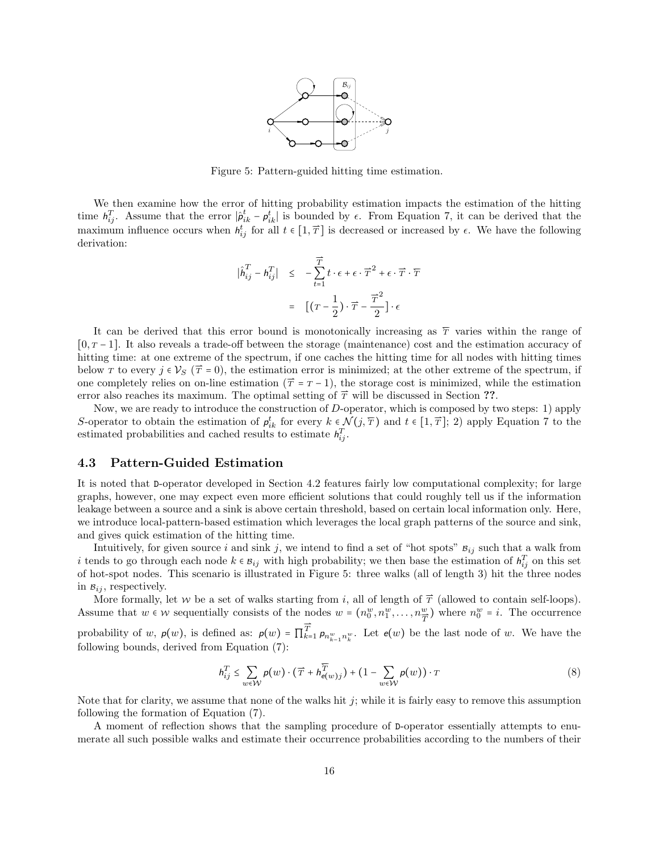

Figure 5: Pattern-guided hitting time estimation.

We then examine how the error of hitting probability estimation impacts the estimation of the hitting time  $h_{ij}^T$ . Assume that the error  $|\hat{\rho}_{ik}^t - \rho_{ik}^t|$  is bounded by  $\epsilon$ . From Equation 7, it can be derived that the maximum influence occurs when  $h_{ij}^t$  for all  $t \in [1, \overline{T}]$  is decreased or increased by  $\epsilon$ . We have the following derivation:

$$
\begin{array}{rcl} \displaystyle | \hat{h}^T_{ij} - h^T_{ij} | & \leq & - \sum_{t=1}^{\overrightarrow{T}} t \cdot \epsilon + \epsilon \cdot \overrightarrow{T}^2 + \epsilon \cdot \overrightarrow{T} \cdot \overleftarrow{T} \\ \\ \displaystyle & = & \left[ \left( T - \frac{1}{2} \right) \cdot \overrightarrow{T} - \frac{\overrightarrow{T}^2}{2} \right] \cdot \epsilon \end{array}
$$

It can be derived that this error bound is monotonically increasing as  $\overline{T}$  varies within the range of [0, <sup>T</sup> − 1]. It also reveals a trade-off between the storage (maintenance) cost and the estimation accuracy of hitting time: at one extreme of the spectrum, if one caches the hitting time for all nodes with hitting times below T to every  $j \in V_S$  ( $\vec{T} = 0$ ), the estimation error is minimized; at the other extreme of the spectrum, if one completely relies on on-line estimation  $(\vec{T} = T - 1)$ , the storage cost is minimized, while the estimation error also reaches its maximum. The optimal setting of  $\vec{\tau}$  will be discussed in Section ??.

Now, we are ready to introduce the construction of D-operator, which is composed by two steps: 1) apply S-operator to obtain the estimation of  $p_{ik}^t$  for every  $k \in \mathcal{N}(j, \overline{T})$  and  $t \in [1, \overline{T}]$ ; 2) apply Equation 7 to the estimated probabilities and cached results to estimate  $h_{ij}^T$ .

### 4.3 Pattern-Guided Estimation

It is noted that D-operator developed in Section 4.2 features fairly low computational complexity; for large graphs, however, one may expect even more efficient solutions that could roughly tell us if the information leakage between a source and a sink is above certain threshold, based on certain local information only. Here, we introduce local-pattern-based estimation which leverages the local graph patterns of the source and sink, and gives quick estimation of the hitting time.

Intuitively, for given source i and sink j, we intend to find a set of "hot spots"  $B_{ij}$  such that a walk from i tends to go through each node  $k \in B_{ij}$  with high probability; we then base the estimation of  $h_{ij}^T$  on this set of hot-spot nodes. This scenario is illustrated in Figure 5: three walks (all of length 3) hit the three nodes in  $B_{ij}$ , respectively.

More formally, let w be a set of walks starting from i, all of length of  $\vec{T}$  (allowed to contain self-loops). Assume that  $w \in W$  sequentially consists of the nodes  $w = (n_0^w, n_1^w, \dots, n_{\overline{T}}^w)$  where  $n_0^w = i$ . The occurrence

probability of w,  $p(w)$ , is defined as:  $p(w) = \prod_{k=1}^{T} p_{n_{k-1}^w n_k^w}$ . Let  $e(w)$  be the last node of w. We have the following bounds, derived from Equation (7):

$$
h_{ij}^T \le \sum_{w \in \mathcal{W}} \rho(w) \cdot (\overline{T} + h_{e(w)j}^{\overline{T}}) + (1 - \sum_{w \in \mathcal{W}} \rho(w)) \cdot T
$$
 (8)

Note that for clarity, we assume that none of the walks hit  $j$ ; while it is fairly easy to remove this assumption following the formation of Equation (7).

A moment of reflection shows that the sampling procedure of D-operator essentially attempts to enumerate all such possible walks and estimate their occurrence probabilities according to the numbers of their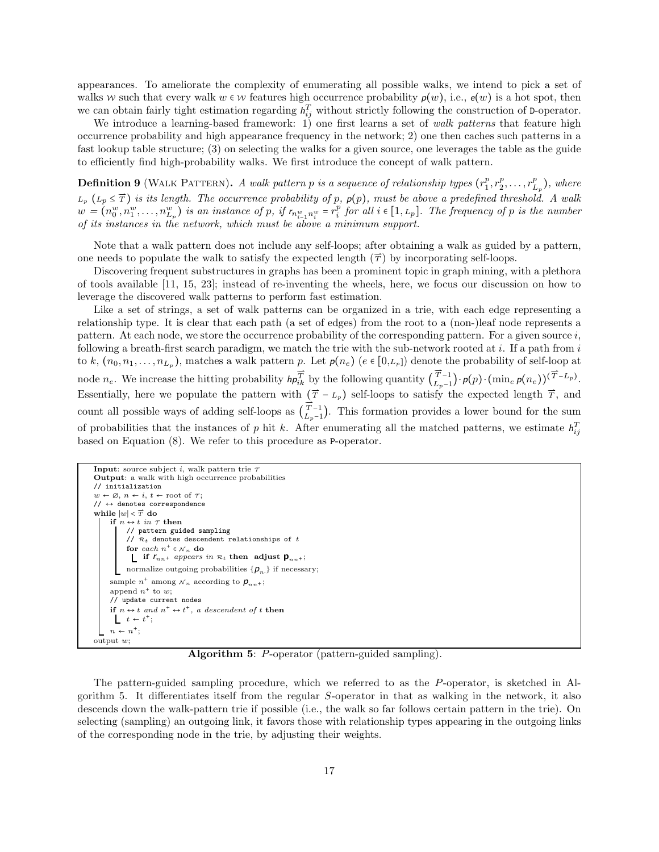appearances. To ameliorate the complexity of enumerating all possible walks, we intend to pick a set of walks w such that every walk  $w \in \mathcal{W}$  features high occurrence probability  $p(w)$ , i.e.,  $e(w)$  is a hot spot, then we can obtain fairly tight estimation regarding  $h_{ij}^T$  without strictly following the construction of D-operator.

We introduce a learning-based framework: 1) one first learns a set of *walk patterns* that feature high occurrence probability and high appearance frequency in the network; 2) one then caches such patterns in a fast lookup table structure; (3) on selecting the walks for a given source, one leverages the table as the guide to efficiently find high-probability walks. We first introduce the concept of walk pattern.

**Definition 9** (WALK PATTERN). A walk pattern p is a sequence of relationship types  $(r_1^p, r_2^p, \ldots, r_{L_p}^p)$ , where  $L_p$   $(L_p \leq \overline{T})$  *is its length. The occurrence probability of* p,  $p(p)$ , must be above a predefined threshola. A walk  $w = (n_0^w, n_1^w, \ldots, n_{L_p}^w)$  is an instance of p, if  $r_{n_{i-1}^w, n_i^w} = r_i^p$  for all  $i \in [1, L_p]$ . The frequency of p is the number *of its instances in the network, which must be above a minimum support.*

Note that a walk pattern does not include any self-loops; after obtaining a walk as guided by a pattern, one needs to populate the walk to satisfy the expected length  $(\vec{\tau})$  by incorporating self-loops.

Discovering frequent substructures in graphs has been a prominent topic in graph mining, with a plethora of tools available [11, 15, 23]; instead of re-inventing the wheels, here, we focus our discussion on how to leverage the discovered walk patterns to perform fast estimation.

Like a set of strings, a set of walk patterns can be organized in a trie, with each edge representing a relationship type. It is clear that each path (a set of edges) from the root to a (non-)leaf node represents a pattern. At each node, we store the occurrence probability of the corresponding pattern. For a given source  $i$ , following a breath-first search paradigm, we match the trie with the sub-network rooted at  $i$ . If a path from  $i$ to k,  $(n_0, n_1, \ldots, n_{L_p})$ , matches a walk pattern p. Let  $p(n_e)$   $(e \in [0, L_p])$  denote the probability of self-loop at node  $n_e$ . We increase the hitting probability  $h p_{ik}^{T}$  by the following quantity  $\left(\overline{T}_{L_{n-1}}^{-1}\right)$  $\overrightarrow{T}_{L_p-1}$ ) ·  $p(p)$  ·  $(\min_e p(n_e))^{(\overrightarrow{T}-L_p)}$ . Essentially, here we populate the pattern with  $(\vec{T} - L_p)$  self-loops to satisfy the expected length  $\vec{T}$ , and count all possible ways of adding self-loops as  $\left( \overrightarrow{L}_{L-1}^{-1} \right)$  $\binom{T-1}{L_p-1}$ . This formation provides a lower bound for the sum of probabilities that the instances of p hit k. After enumerating all the matched patterns, we estimate  $h_{ij}^T$ based on Equation (8). We refer to this procedure as P-operator.

```
Input: source subject i, walk pattern trie \tauOutput: a walk with high occurrence probabilities
// initialization
w \leftarrow \emptyset, n \leftarrow i, t \leftarrow \text{root of } \tau;
// \leftrightarrow denotes correspondence
while |w| < \overrightarrow{T} do
      if n \leftrightarrow t in \tau then
            // pattern guided sampling
             // \mathcal{R}_t denotes descendent relationships of tfor each n^+ \in \mathcal{N}_n do<br>
\Box if r_{nn^+} appears in \mathcal{R}_t then adjust \mathbf{p}_{nn^+};
             normalize outgoing probabilities \{p_{n\cdot}\}\) if necessary;
      sample n^+ among \mathcal{N}_n according to p_{nn^+};
      append n^+ to w;
      // update current nodes
      if n \leftrightarrow t and n^+ \leftrightarrow t^+, a descendent of t then
             t \leftarrow t^{+};
      n \leftarrow n^+;
output w;
```
Algorithm 5: P-operator (pattern-guided sampling).

The pattern-guided sampling procedure, which we referred to as the P-operator, is sketched in Algorithm 5. It differentiates itself from the regular S-operator in that as walking in the network, it also descends down the walk-pattern trie if possible (i.e., the walk so far follows certain pattern in the trie). On selecting (sampling) an outgoing link, it favors those with relationship types appearing in the outgoing links of the corresponding node in the trie, by adjusting their weights.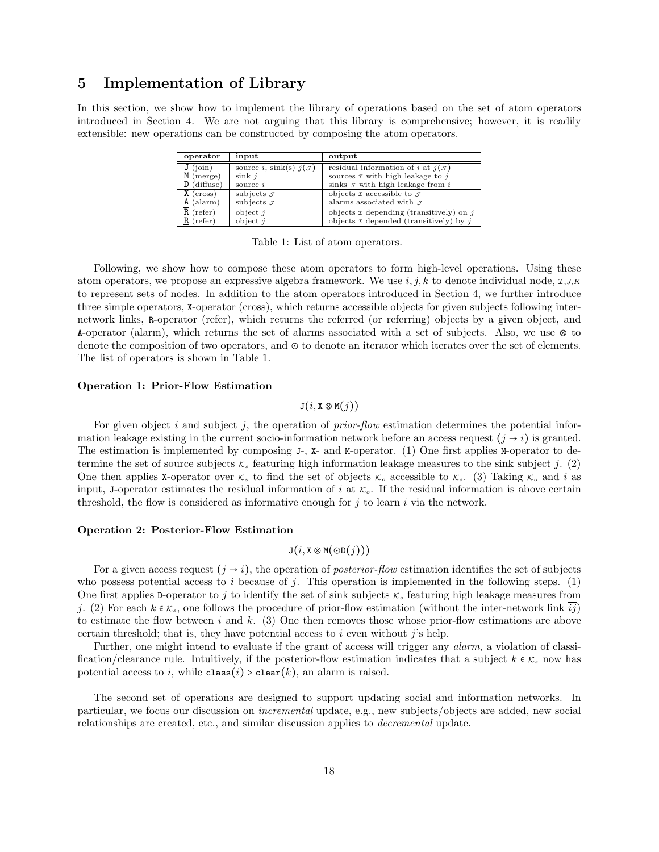## 5 Implementation of Library

In this section, we show how to implement the library of operations based on the set of atom operators introduced in Section 4. We are not arguing that this library is comprehensive; however, it is readily extensible: new operations can be constructed by composing the atom operators.

| operator                     | input                              | output                                                                               |
|------------------------------|------------------------------------|--------------------------------------------------------------------------------------|
| $J$ (join)                   | source i, sink(s) $j(\mathcal{J})$ | residual information of <i>i</i> at $j(\mathcal{J})$                                 |
| $M$ (merge)<br>$D$ (diffuse) | $\sin k$ <i>i</i><br>source $i$    | sources $\tau$ with high leakage to $i$<br>sinks $\sigma$ with high leakage from $i$ |
| $X$ (cross)                  | subjects $\mathcal I$              | objects $\tau$ accessible to $\tau$                                                  |
| $A$ (alarm)                  | subjects $\mathcal I$              | alarms associated with $\sigma$                                                      |
| $R$ (refer)                  | object $i$                         | objects $\tau$ depending (transitively) on j                                         |
| $R$ (refer)                  | object $i$                         | objects $\tau$ depended (transitively) by j                                          |

Table 1: List of atom operators.

Following, we show how to compose these atom operators to form high-level operations. Using these atom operators, we propose an expressive algebra framework. We use  $i, j, k$  to denote individual node,  $\tau, \tau, K$ to represent sets of nodes. In addition to the atom operators introduced in Section 4, we further introduce three simple operators, X-operator (cross), which returns accessible objects for given subjects following internetwork links, R-operator (refer), which returns the referred (or referring) objects by a given object, and A-operator (alarm), which returns the set of alarms associated with a set of subjects. Also, we use ⊗ to denote the composition of two operators, and ⊙ to denote an iterator which iterates over the set of elements. The list of operators is shown in Table 1.

### Operation 1: Prior-Flow Estimation

### $J(i, X \otimes M(i))$

For given object i and subject j, the operation of *prior-flow* estimation determines the potential information leakage existing in the current socio-information network before an access request  $(j \rightarrow i)$  is granted. The estimation is implemented by composing J-, X- and M-operator. (1) One first applies M-operator to determine the set of source subjects  $\kappa_s$  featuring high information leakage measures to the sink subject j. (2) One then applies **X**-operator over  $\kappa_s$  to find the set of objects  $\kappa_o$  accessible to  $\kappa_s$ . (3) Taking  $\kappa_o$  and i as input, J-operator estimates the residual information of i at  $\kappa_o$ . If the residual information is above certain threshold, the flow is considered as informative enough for  $j$  to learn  $i$  via the network.

#### Operation 2: Posterior-Flow Estimation

## $J(i, X \otimes M(\odot D(j)))$

For a given access request  $(j \rightarrow i)$ , the operation of *posterior-flow* estimation identifies the set of subjects who possess potential access to i because of j. This operation is implemented in the following steps. (1) One first applies D-operator to j to identify the set of sink subjects  $\kappa_s$  featuring high leakage measures from j. (2) For each  $k \in \mathcal{K}_s$ , one follows the procedure of prior-flow estimation (without the inter-network link  $ij$ ) to estimate the flow between i and  $k$ . (3) One then removes those whose prior-flow estimations are above certain threshold; that is, they have potential access to  $i$  even without j's help.

Further, one might intend to evaluate if the grant of access will trigger any *alarm*, a violation of classification/clearance rule. Intuitively, if the posterior-flow estimation indicates that a subject  $k \in \mathcal{K}_s$  now has potential access to i, while  $\text{class}(i) > \text{clear}(k)$ , an alarm is raised.

The second set of operations are designed to support updating social and information networks. In particular, we focus our discussion on *incremental* update, e.g., new subjects/objects are added, new social relationships are created, etc., and similar discussion applies to *decremental* update.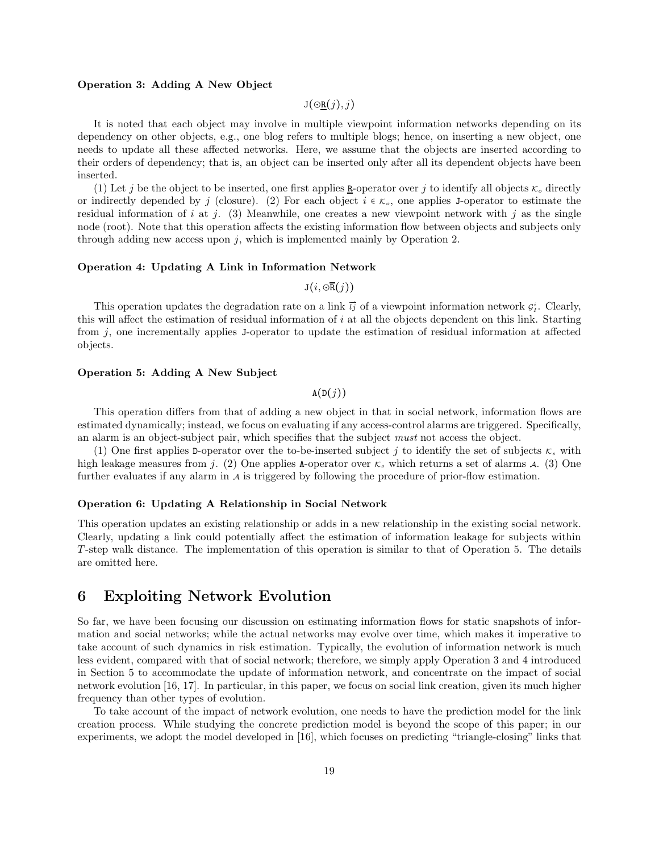#### Operation 3: Adding A New Object

 $J(\Theta_{\mathbf{R}}(j), j)$ 

It is noted that each object may involve in multiple viewpoint information networks depending on its dependency on other objects, e.g., one blog refers to multiple blogs; hence, on inserting a new object, one needs to update all these affected networks. Here, we assume that the objects are inserted according to their orders of dependency; that is, an object can be inserted only after all its dependent objects have been inserted.

(1) Let j be the object to be inserted, one first applies  $\underline{\mathbf{R}}$ -operator over j to identify all objects  $\kappa_o$  directly or indirectly depended by j (closure). (2) For each object  $i \in \mathcal{K}_o$ , one applies J-operator to estimate the residual information of i at j. (3) Meanwhile, one creates a new viewpoint network with j as the single node (root). Note that this operation affects the existing information flow between objects and subjects only through adding new access upon  $j$ , which is implemented mainly by Operation 2.

### Operation 4: Updating A Link in Information Network

 $J(i, \overline{\mathcal{OR}}(j))$ 

This operation updates the degradation rate on a link  $\vec{ij}$  of a viewpoint information network  $g_i^i$ . Clearly, this will affect the estimation of residual information of i at all the objects dependent on this link. Starting from j, one incrementally applies J-operator to update the estimation of residual information at affected objects.

### Operation 5: Adding A New Subject

 $A(D(j))$ 

This operation differs from that of adding a new object in that in social network, information flows are estimated dynamically; instead, we focus on evaluating if any access-control alarms are triggered. Specifically, an alarm is an object-subject pair, which specifies that the subject *must* not access the object.

(1) One first applies D-operator over the to-be-inserted subject j to identify the set of subjects  $\kappa_s$  with high leakage measures from j. (2) One applies A-operator over  $\kappa_s$  which returns a set of alarms A. (3) One further evaluates if any alarm in  $\lambda$  is triggered by following the procedure of prior-flow estimation.

#### Operation 6: Updating A Relationship in Social Network

This operation updates an existing relationship or adds in a new relationship in the existing social network. Clearly, updating a link could potentially affect the estimation of information leakage for subjects within T -step walk distance. The implementation of this operation is similar to that of Operation 5. The details are omitted here.

## 6 Exploiting Network Evolution

So far, we have been focusing our discussion on estimating information flows for static snapshots of information and social networks; while the actual networks may evolve over time, which makes it imperative to take account of such dynamics in risk estimation. Typically, the evolution of information network is much less evident, compared with that of social network; therefore, we simply apply Operation 3 and 4 introduced in Section 5 to accommodate the update of information network, and concentrate on the impact of social network evolution [16, 17]. In particular, in this paper, we focus on social link creation, given its much higher frequency than other types of evolution.

To take account of the impact of network evolution, one needs to have the prediction model for the link creation process. While studying the concrete prediction model is beyond the scope of this paper; in our experiments, we adopt the model developed in [16], which focuses on predicting "triangle-closing" links that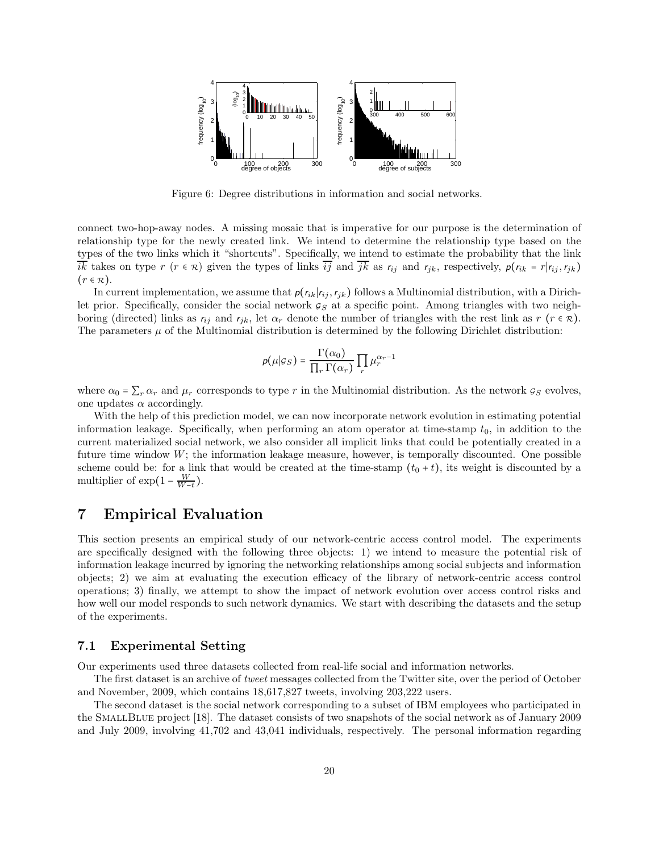

Figure 6: Degree distributions in information and social networks.

connect two-hop-away nodes. A missing mosaic that is imperative for our purpose is the determination of relationship type for the newly created link. We intend to determine the relationship type based on the types of the two links which it "shortcuts". Specifically, we intend to estimate the probability that the link  $i\overline{k}$  takes on type r  $(r \in \mathcal{R})$  given the types of links  $i\overline{j}$  and  $j\overline{k}$  as  $r_{ij}$  and  $r_{jk}$ , respectively,  $p(r_{ik} = r|r_{ij}, r_{jk})$  $(r \in \mathcal{R})$ .

In current implementation, we assume that  $p(r_{ik}|r_{ij},r_{jk})$  follows a Multinomial distribution, with a Dirichlet prior. Specifically, consider the social network  $g_S$  at a specific point. Among triangles with two neighboring (directed) links as  $r_{ij}$  and  $r_{jk}$ , let  $\alpha_r$  denote the number of triangles with the rest link as  $r$  ( $r \in \mathcal{R}$ ). The parameters  $\mu$  of the Multinomial distribution is determined by the following Dirichlet distribution:

$$
p(\mu|g_S) = \frac{\Gamma(\alpha_0)}{\prod_r \Gamma(\alpha_r)} \prod_r \mu_r^{\alpha_r - 1}
$$

where  $\alpha_0 = \sum_r \alpha_r$  and  $\mu_r$  corresponds to type r in the Multinomial distribution. As the network  $g_S$  evolves, one updates  $\alpha$  accordingly.

With the help of this prediction model, we can now incorporate network evolution in estimating potential information leakage. Specifically, when performing an atom operator at time-stamp  $t_0$ , in addition to the current materialized social network, we also consider all implicit links that could be potentially created in a future time window  $W$ ; the information leakage measure, however, is temporally discounted. One possible scheme could be: for a link that would be created at the time-stamp  $(t_0 + t)$ , its weight is discounted by a multiplier of  $\exp(1 - \frac{W}{W-t})$ .

## 7 Empirical Evaluation

This section presents an empirical study of our network-centric access control model. The experiments are specifically designed with the following three objects: 1) we intend to measure the potential risk of information leakage incurred by ignoring the networking relationships among social subjects and information objects; 2) we aim at evaluating the execution efficacy of the library of network-centric access control operations; 3) finally, we attempt to show the impact of network evolution over access control risks and how well our model responds to such network dynamics. We start with describing the datasets and the setup of the experiments.

### 7.1 Experimental Setting

Our experiments used three datasets collected from real-life social and information networks.

The first dataset is an archive of *tweet* messages collected from the Twitter site, over the period of October and November, 2009, which contains 18,617,827 tweets, involving 203,222 users.

The second dataset is the social network corresponding to a subset of IBM employees who participated in the SmallBlue project [18]. The dataset consists of two snapshots of the social network as of January 2009 and July 2009, involving 41,702 and 43,041 individuals, respectively. The personal information regarding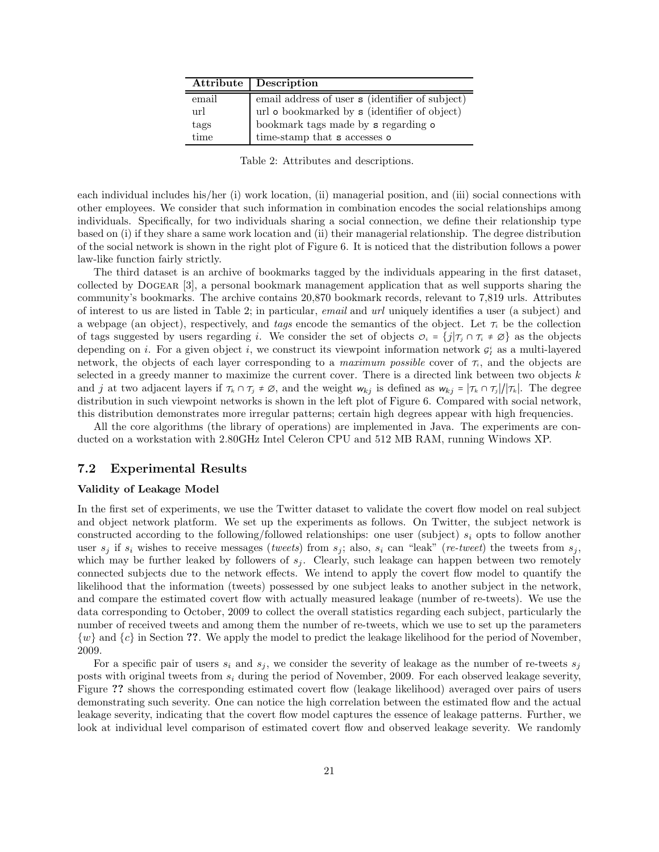|       | Attribute   Description                         |
|-------|-------------------------------------------------|
| email | email address of user s (identifier of subject) |
| url   | url o bookmarked by s (identifier of object)    |
| tags  | bookmark tags made by s regarding o             |
| time  | time-stamp that ${\tt s}$ accesses ${\tt o}$    |

Table 2: Attributes and descriptions.

each individual includes his/her (i) work location, (ii) managerial position, and (iii) social connections with other employees. We consider that such information in combination encodes the social relationships among individuals. Specifically, for two individuals sharing a social connection, we define their relationship type based on (i) if they share a same work location and (ii) their managerial relationship. The degree distribution of the social network is shown in the right plot of Figure 6. It is noticed that the distribution follows a power law-like function fairly strictly.

The third dataset is an archive of bookmarks tagged by the individuals appearing in the first dataset, collected by Dogear [3], a personal bookmark management application that as well supports sharing the community's bookmarks. The archive contains 20,870 bookmark records, relevant to 7,819 urls. Attributes of interest to us are listed in Table 2; in particular, *email* and *url* uniquely identifies a user (a subject) and a webpage (an object), respectively, and *tags* encode the semantics of the object. Let  $\tau_i$  be the collection of tags suggested by users regarding i. We consider the set of objects  $\mathcal{O}_i = \{j | \tau_j \cap \tau_i \neq \emptyset \}$  as the objects depending on *i*. For a given object *i*, we construct its viewpoint information network  $g_i^i$  as a multi-layered network, the objects of each layer corresponding to a *maximum possible* cover of  $\tau_i$ , and the objects are selected in a greedy manner to maximize the current cover. There is a directed link between two objects  $k$ and j at two adjacent layers if  $\tau_k \cap \tau_j \neq \emptyset$ , and the weight  $w_{kj}$  is defined as  $w_{kj} = |\tau_k \cap \tau_j|/|\tau_k|$ . The degree distribution in such viewpoint networks is shown in the left plot of Figure 6. Compared with social network, this distribution demonstrates more irregular patterns; certain high degrees appear with high frequencies.

All the core algorithms (the library of operations) are implemented in Java. The experiments are conducted on a workstation with 2.80GHz Intel Celeron CPU and 512 MB RAM, running Windows XP.

### 7.2 Experimental Results

### Validity of Leakage Model

In the first set of experiments, we use the Twitter dataset to validate the covert flow model on real subject and object network platform. We set up the experiments as follows. On Twitter, the subject network is constructed according to the following/followed relationships: one user (subject)  $s_i$  opts to follow another user  $s_j$  if  $s_i$  wishes to receive messages (*tweets*) from  $s_j$ ; also,  $s_i$  can "leak" (*re-tweet*) the tweets from  $s_j$ , which may be further leaked by followers of  $s_j$ . Clearly, such leakage can happen between two remotely connected subjects due to the network effects. We intend to apply the covert flow model to quantify the likelihood that the information (tweets) possessed by one subject leaks to another subject in the network, and compare the estimated covert flow with actually measured leakage (number of re-tweets). We use the data corresponding to October, 2009 to collect the overall statistics regarding each subject, particularly the number of received tweets and among them the number of re-tweets, which we use to set up the parameters  $\{w\}$  and  $\{c\}$  in Section ??. We apply the model to predict the leakage likelihood for the period of November, 2009.

For a specific pair of users  $s_i$  and  $s_j$ , we consider the severity of leakage as the number of re-tweets  $s_j$ posts with original tweets from  $s_i$  during the period of November, 2009. For each observed leakage severity, Figure ?? shows the corresponding estimated covert flow (leakage likelihood) averaged over pairs of users demonstrating such severity. One can notice the high correlation between the estimated flow and the actual leakage severity, indicating that the covert flow model captures the essence of leakage patterns. Further, we look at individual level comparison of estimated covert flow and observed leakage severity. We randomly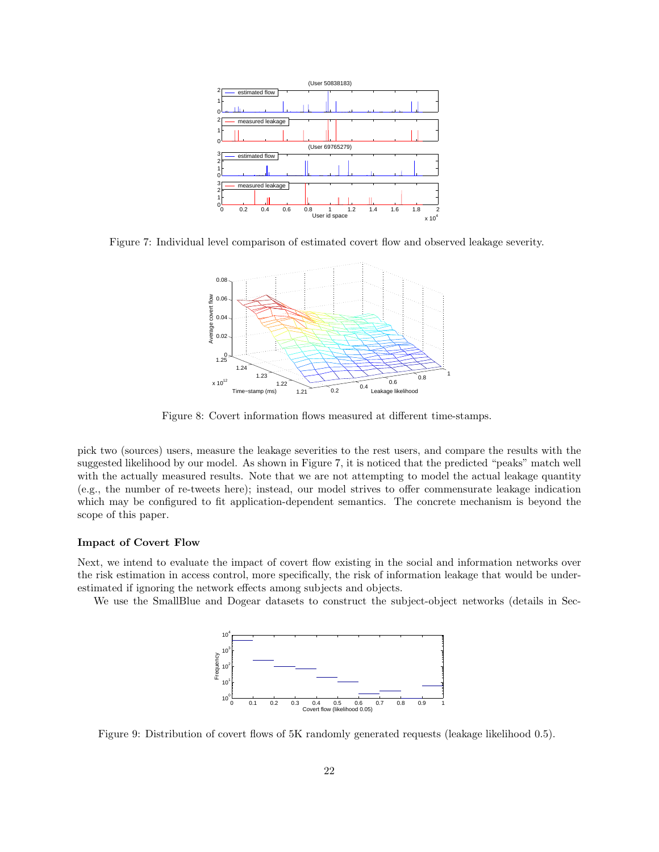

Figure 7: Individual level comparison of estimated covert flow and observed leakage severity.



Figure 8: Covert information flows measured at different time-stamps.

pick two (sources) users, measure the leakage severities to the rest users, and compare the results with the suggested likelihood by our model. As shown in Figure 7, it is noticed that the predicted "peaks" match well with the actually measured results. Note that we are not attempting to model the actual leakage quantity (e.g., the number of re-tweets here); instead, our model strives to offer commensurate leakage indication which may be configured to fit application-dependent semantics. The concrete mechanism is beyond the scope of this paper.

### Impact of Covert Flow

Next, we intend to evaluate the impact of covert flow existing in the social and information networks over the risk estimation in access control, more specifically, the risk of information leakage that would be underestimated if ignoring the network effects among subjects and objects.

We use the SmallBlue and Dogear datasets to construct the subject-object networks (details in Sec-



Figure 9: Distribution of covert flows of 5K randomly generated requests (leakage likelihood 0.5).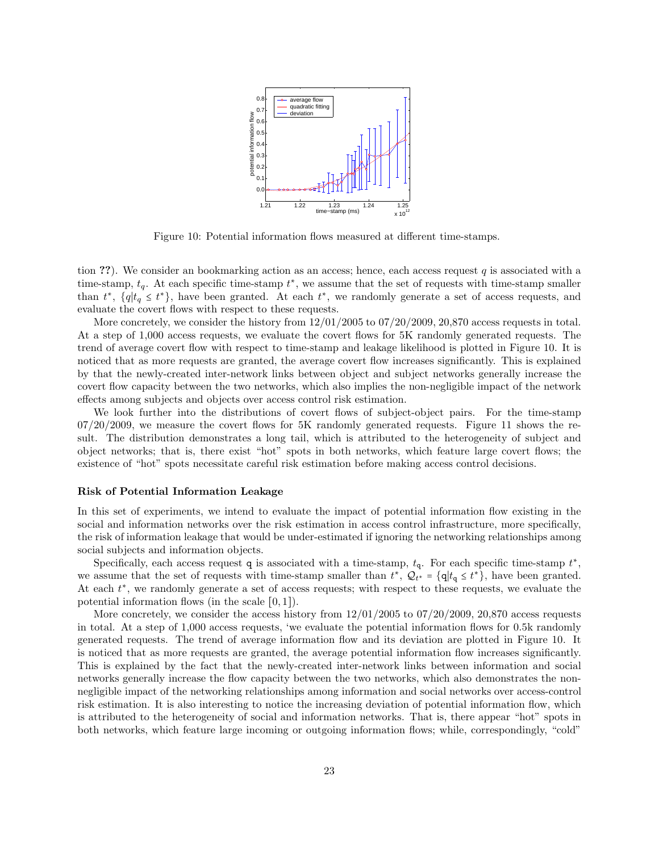

Figure 10: Potential information flows measured at different time-stamps.

tion ??). We consider an bookmarking action as an access; hence, each access request q is associated with a time-stamp,  $t_q$ . At each specific time-stamp  $t^*$ , we assume that the set of requests with time-stamp smaller than  $t^*$ ,  $\{q|t_q \leq t^*\}$ , have been granted. At each  $t^*$ , we randomly generate a set of access requests, and evaluate the covert flows with respect to these requests.

More concretely, we consider the history from 12/01/2005 to 07/20/2009, 20,870 access requests in total. At a step of 1,000 access requests, we evaluate the covert flows for 5K randomly generated requests. The trend of average covert flow with respect to time-stamp and leakage likelihood is plotted in Figure 10. It is noticed that as more requests are granted, the average covert flow increases significantly. This is explained by that the newly-created inter-network links between object and subject networks generally increase the covert flow capacity between the two networks, which also implies the non-negligible impact of the network effects among subjects and objects over access control risk estimation.

We look further into the distributions of covert flows of subject-object pairs. For the time-stamp 07/20/2009, we measure the covert flows for 5K randomly generated requests. Figure 11 shows the result. The distribution demonstrates a long tail, which is attributed to the heterogeneity of subject and object networks; that is, there exist "hot" spots in both networks, which feature large covert flows; the existence of "hot" spots necessitate careful risk estimation before making access control decisions.

#### Risk of Potential Information Leakage

In this set of experiments, we intend to evaluate the impact of potential information flow existing in the social and information networks over the risk estimation in access control infrastructure, more specifically, the risk of information leakage that would be under-estimated if ignoring the networking relationships among social subjects and information objects.

Specifically, each access request q is associated with a time-stamp,  $t<sub>q</sub>$ . For each specific time-stamp  $t^*$ , we assume that the set of requests with time-stamp smaller than  $t^*$ ,  $\mathcal{Q}_{t^*} = \{q | t_q \leq t^* \}$ , have been granted. At each  $t^*$ , we randomly generate a set of access requests; with respect to these requests, we evaluate the potential information flows (in the scale [0, 1]).

More concretely, we consider the access history from  $12/01/2005$  to  $07/20/2009$ ,  $20,870$  access requests in total. At a step of 1,000 access requests, 'we evaluate the potential information flows for 0.5k randomly generated requests. The trend of average information flow and its deviation are plotted in Figure 10. It is noticed that as more requests are granted, the average potential information flow increases significantly. This is explained by the fact that the newly-created inter-network links between information and social networks generally increase the flow capacity between the two networks, which also demonstrates the nonnegligible impact of the networking relationships among information and social networks over access-control risk estimation. It is also interesting to notice the increasing deviation of potential information flow, which is attributed to the heterogeneity of social and information networks. That is, there appear "hot" spots in both networks, which feature large incoming or outgoing information flows; while, correspondingly, "cold"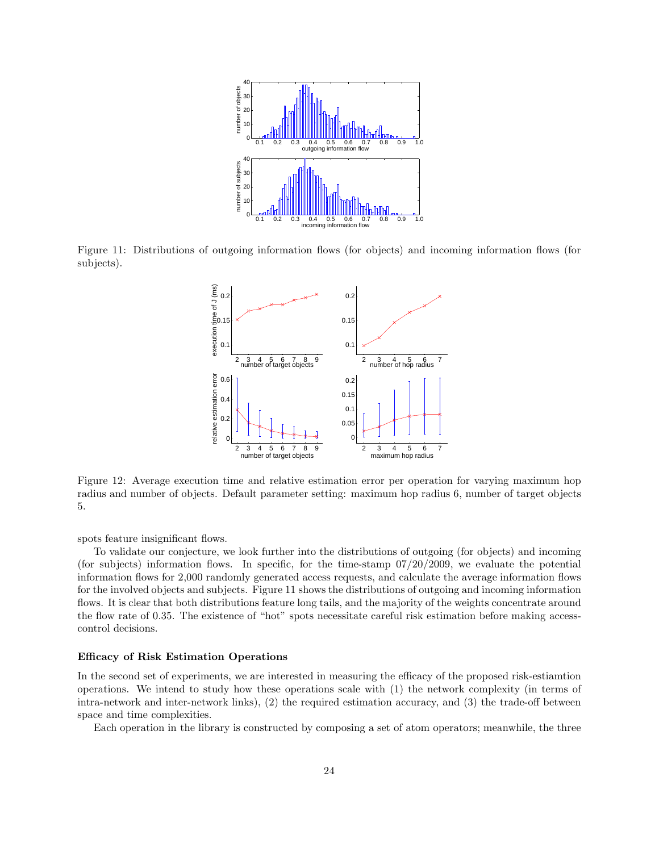

Figure 11: Distributions of outgoing information flows (for objects) and incoming information flows (for subjects).



Figure 12: Average execution time and relative estimation error per operation for varying maximum hop radius and number of objects. Default parameter setting: maximum hop radius 6, number of target objects 5.

spots feature insignificant flows.

To validate our conjecture, we look further into the distributions of outgoing (for objects) and incoming (for subjects) information flows. In specific, for the time-stamp  $07/20/2009$ , we evaluate the potential information flows for 2,000 randomly generated access requests, and calculate the average information flows for the involved objects and subjects. Figure 11 shows the distributions of outgoing and incoming information flows. It is clear that both distributions feature long tails, and the majority of the weights concentrate around the flow rate of 0.35. The existence of "hot" spots necessitate careful risk estimation before making accesscontrol decisions.

#### Efficacy of Risk Estimation Operations

In the second set of experiments, we are interested in measuring the efficacy of the proposed risk-estiamtion operations. We intend to study how these operations scale with (1) the network complexity (in terms of intra-network and inter-network links), (2) the required estimation accuracy, and (3) the trade-off between space and time complexities.

Each operation in the library is constructed by composing a set of atom operators; meanwhile, the three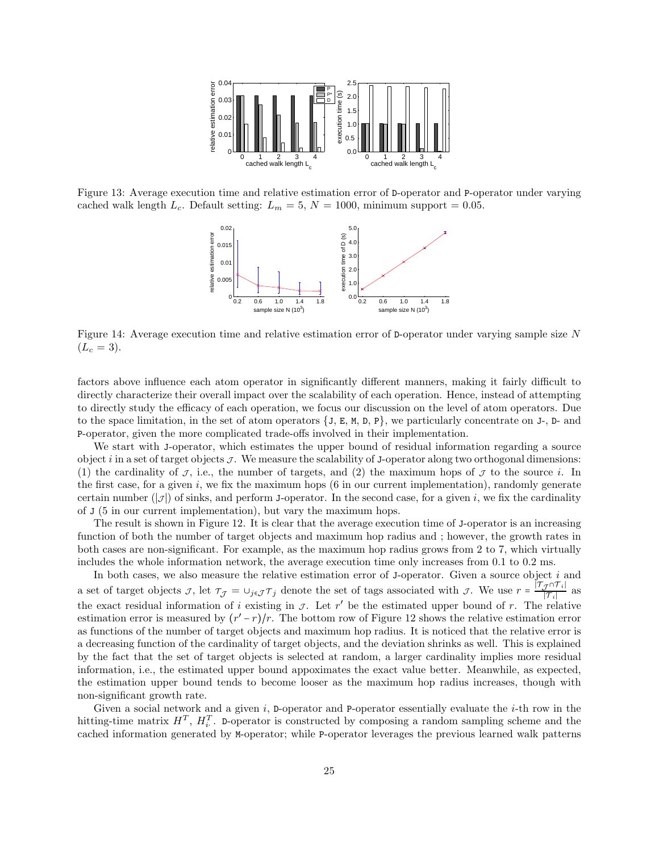

Figure 13: Average execution time and relative estimation error of D-operator and P-operator under varying cached walk length  $L_c$ . Default setting:  $L_m = 5$ ,  $N = 1000$ , minimum support = 0.05.



Figure 14: Average execution time and relative estimation error of D-operator under varying sample size N  $(L_c = 3).$ 

factors above influence each atom operator in significantly different manners, making it fairly difficult to directly characterize their overall impact over the scalability of each operation. Hence, instead of attempting to directly study the efficacy of each operation, we focus our discussion on the level of atom operators. Due to the space limitation, in the set of atom operators  $\{J, E, M, D, P\}$ , we particularly concentrate on J-, D- and P-operator, given the more complicated trade-offs involved in their implementation.

We start with J-operator, which estimates the upper bound of residual information regarding a source object i in a set of target objects  $\mathcal{J}$ . We measure the scalability of J-operator along two orthogonal dimensions: (1) the cardinality of  $\mathcal{J}$ , i.e., the number of targets, and (2) the maximum hops of  $\mathcal{J}$  to the source i. In the first case, for a given  $i$ , we fix the maximum hops  $(6 \text{ in our current implementation})$ , randomly generate certain number  $(|\mathcal{J}|)$  of sinks, and perform J-operator. In the second case, for a given i, we fix the cardinality of J (5 in our current implementation), but vary the maximum hops.

The result is shown in Figure 12. It is clear that the average execution time of J-operator is an increasing function of both the number of target objects and maximum hop radius and ; however, the growth rates in both cases are non-significant. For example, as the maximum hop radius grows from 2 to 7, which virtually includes the whole information network, the average execution time only increases from 0.1 to 0.2 ms.

In both cases, we also measure the relative estimation error of J-operator. Given a source object i and a set of target objects  $\mathcal{J}$ , let  $\tau_{\mathcal{J}} = \cup_{j \in \mathcal{J}} \tau_j$  denote the set of tags associated with  $\mathcal{J}$ . We use  $r = \frac{|\mathcal{T}_{\mathcal{J}} \cap \mathcal{T}_i|}{|\mathcal{T}_i|}$  $\frac{\mathcal{T}^{(1)}[T_i]}{T_i}$  as the exact residual information of i existing in  $\mathcal{I}$ . Let r' be the estimated upper bound of r. The relative estimation error is measured by  $(r'-r)/r$ . The bottom row of Figure 12 shows the relative estimation error as functions of the number of target objects and maximum hop radius. It is noticed that the relative error is a decreasing function of the cardinality of target objects, and the deviation shrinks as well. This is explained by the fact that the set of target objects is selected at random, a larger cardinality implies more residual information, i.e., the estimated upper bound appoximates the exact value better. Meanwhile, as expected, the estimation upper bound tends to become looser as the maximum hop radius increases, though with non-significant growth rate.

Given a social network and a given  $i$ , D-operator and P-operator essentially evaluate the  $i$ -th row in the hitting-time matrix  $H^T$ ,  $H_i^T$ . D-operator is constructed by composing a random sampling scheme and the cached information generated by M-operator; while P-operator leverages the previous learned walk patterns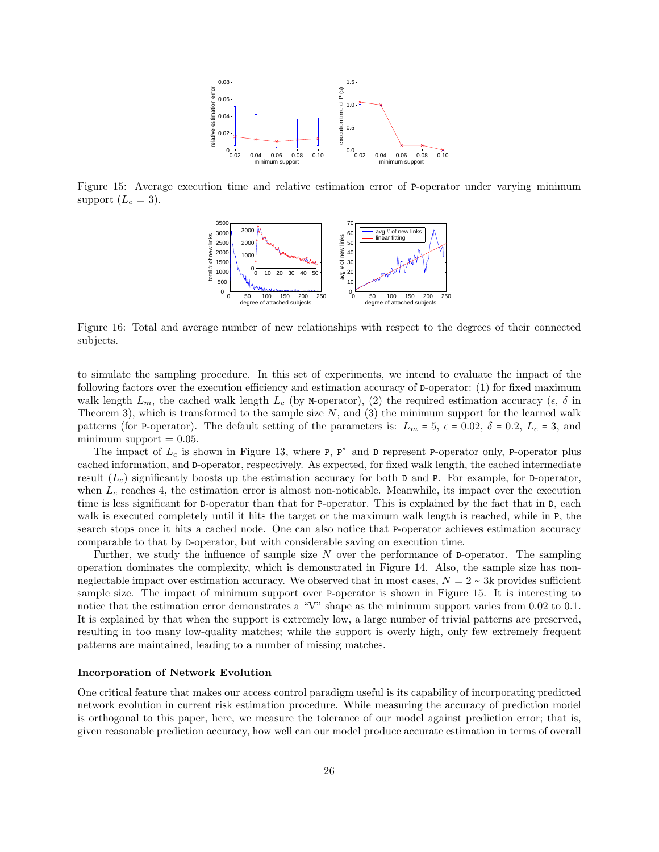

Figure 15: Average execution time and relative estimation error of P-operator under varying minimum support  $(L_c = 3)$ .



Figure 16: Total and average number of new relationships with respect to the degrees of their connected subjects.

to simulate the sampling procedure. In this set of experiments, we intend to evaluate the impact of the following factors over the execution efficiency and estimation accuracy of D-operator: (1) for fixed maximum walk length  $L_m$ , the cached walk length  $L_c$  (by M-operator), (2) the required estimation accuracy ( $\epsilon$ ,  $\delta$  in Theorem 3), which is transformed to the sample size  $N$ , and  $(3)$  the minimum support for the learned walk patterns (for P-operator). The default setting of the parameters is:  $L_m = 5$ ,  $\epsilon = 0.02$ ,  $\delta = 0.2$ ,  $L_c = 3$ , and minimum support  $= 0.05$ .

The impact of  $L_c$  is shown in Figure 13, where P, P<sup>\*</sup> and D represent P-operator only, P-operator plus cached information, and D-operator, respectively. As expected, for fixed walk length, the cached intermediate result  $(L_c)$  significantly boosts up the estimation accuracy for both D and P. For example, for D-operator, when  $L_c$  reaches 4, the estimation error is almost non-noticable. Meanwhile, its impact over the execution time is less significant for D-operator than that for P-operator. This is explained by the fact that in D, each walk is executed completely until it hits the target or the maximum walk length is reached, while in P, the search stops once it hits a cached node. One can also notice that P-operator achieves estimation accuracy comparable to that by D-operator, but with considerable saving on execution time.

Further, we study the influence of sample size N over the performance of D-operator. The sampling operation dominates the complexity, which is demonstrated in Figure 14. Also, the sample size has nonneglectable impact over estimation accuracy. We observed that in most cases,  $N = 2 \sim 3k$  provides sufficient sample size. The impact of minimum support over P-operator is shown in Figure 15. It is interesting to notice that the estimation error demonstrates a "V" shape as the minimum support varies from 0.02 to 0.1. It is explained by that when the support is extremely low, a large number of trivial patterns are preserved, resulting in too many low-quality matches; while the support is overly high, only few extremely frequent patterns are maintained, leading to a number of missing matches.

#### Incorporation of Network Evolution

One critical feature that makes our access control paradigm useful is its capability of incorporating predicted network evolution in current risk estimation procedure. While measuring the accuracy of prediction model is orthogonal to this paper, here, we measure the tolerance of our model against prediction error; that is, given reasonable prediction accuracy, how well can our model produce accurate estimation in terms of overall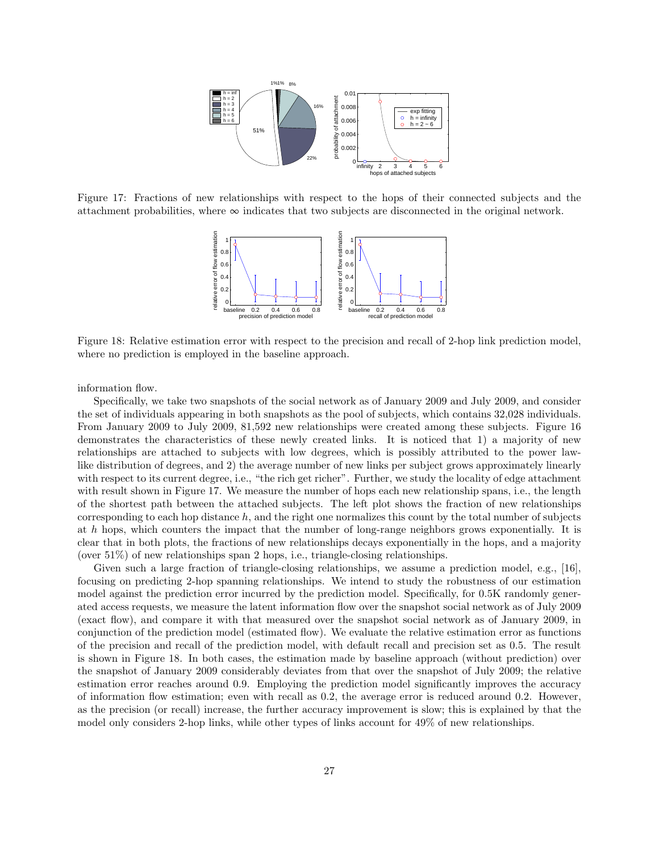

Figure 17: Fractions of new relationships with respect to the hops of their connected subjects and the attachment probabilities, where  $\infty$  indicates that two subjects are disconnected in the original network.



Figure 18: Relative estimation error with respect to the precision and recall of 2-hop link prediction model, where no prediction is employed in the baseline approach.

information flow.

Specifically, we take two snapshots of the social network as of January 2009 and July 2009, and consider the set of individuals appearing in both snapshots as the pool of subjects, which contains 32,028 individuals. From January 2009 to July 2009, 81,592 new relationships were created among these subjects. Figure 16 demonstrates the characteristics of these newly created links. It is noticed that 1) a majority of new relationships are attached to subjects with low degrees, which is possibly attributed to the power lawlike distribution of degrees, and 2) the average number of new links per subject grows approximately linearly with respect to its current degree, i.e., "the rich get richer". Further, we study the locality of edge attachment with result shown in Figure 17. We measure the number of hops each new relationship spans, i.e., the length of the shortest path between the attached subjects. The left plot shows the fraction of new relationships corresponding to each hop distance  $h$ , and the right one normalizes this count by the total number of subjects at h hops, which counters the impact that the number of long-range neighbors grows exponentially. It is clear that in both plots, the fractions of new relationships decays exponentially in the hops, and a majority (over 51%) of new relationships span 2 hops, i.e., triangle-closing relationships.

Given such a large fraction of triangle-closing relationships, we assume a prediction model, e.g., [16], focusing on predicting 2-hop spanning relationships. We intend to study the robustness of our estimation model against the prediction error incurred by the prediction model. Specifically, for 0.5K randomly generated access requests, we measure the latent information flow over the snapshot social network as of July 2009 (exact flow), and compare it with that measured over the snapshot social network as of January 2009, in conjunction of the prediction model (estimated flow). We evaluate the relative estimation error as functions of the precision and recall of the prediction model, with default recall and precision set as 0.5. The result is shown in Figure 18. In both cases, the estimation made by baseline approach (without prediction) over the snapshot of January 2009 considerably deviates from that over the snapshot of July 2009; the relative estimation error reaches around 0.9. Employing the prediction model significantly improves the accuracy of information flow estimation; even with recall as 0.2, the average error is reduced around 0.2. However, as the precision (or recall) increase, the further accuracy improvement is slow; this is explained by that the model only considers 2-hop links, while other types of links account for 49% of new relationships.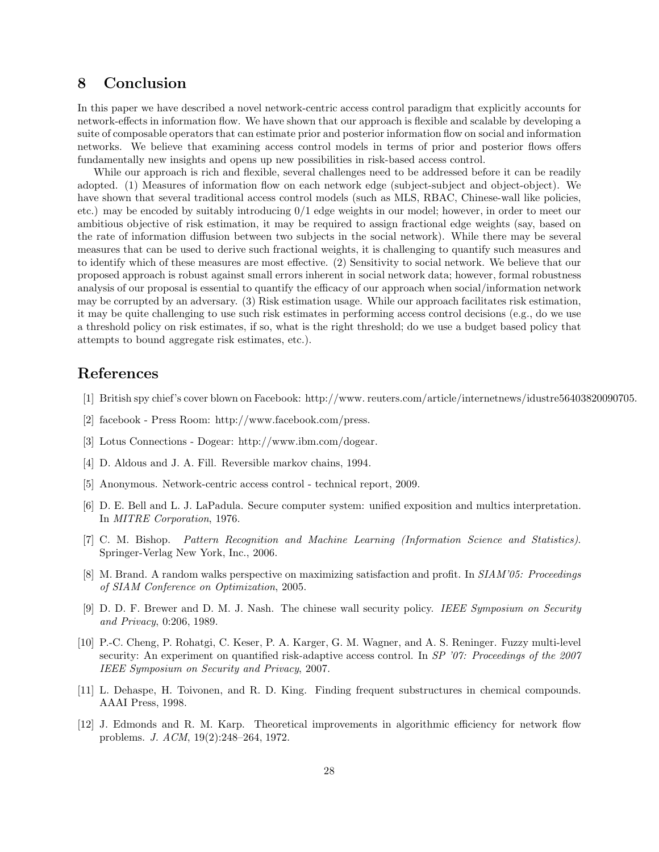## 8 Conclusion

In this paper we have described a novel network-centric access control paradigm that explicitly accounts for network-effects in information flow. We have shown that our approach is flexible and scalable by developing a suite of composable operators that can estimate prior and posterior information flow on social and information networks. We believe that examining access control models in terms of prior and posterior flows offers fundamentally new insights and opens up new possibilities in risk-based access control.

While our approach is rich and flexible, several challenges need to be addressed before it can be readily adopted. (1) Measures of information flow on each network edge (subject-subject and object-object). We have shown that several traditional access control models (such as MLS, RBAC, Chinese-wall like policies, etc.) may be encoded by suitably introducing 0/1 edge weights in our model; however, in order to meet our ambitious objective of risk estimation, it may be required to assign fractional edge weights (say, based on the rate of information diffusion between two subjects in the social network). While there may be several measures that can be used to derive such fractional weights, it is challenging to quantify such measures and to identify which of these measures are most effective. (2) Sensitivity to social network. We believe that our proposed approach is robust against small errors inherent in social network data; however, formal robustness analysis of our proposal is essential to quantify the efficacy of our approach when social/information network may be corrupted by an adversary. (3) Risk estimation usage. While our approach facilitates risk estimation, it may be quite challenging to use such risk estimates in performing access control decisions (e.g., do we use a threshold policy on risk estimates, if so, what is the right threshold; do we use a budget based policy that attempts to bound aggregate risk estimates, etc.).

## References

- [1] British spy chief's cover blown on Facebook: http://www. reuters.com/article/internetnews/idustre56403820090705.
- [2] facebook Press Room: http://www.facebook.com/press.
- [3] Lotus Connections Dogear: http://www.ibm.com/dogear.
- [4] D. Aldous and J. A. Fill. Reversible markov chains, 1994.
- [5] Anonymous. Network-centric access control technical report, 2009.
- [6] D. E. Bell and L. J. LaPadula. Secure computer system: unified exposition and multics interpretation. In *MITRE Corporation*, 1976.
- [7] C. M. Bishop. *Pattern Recognition and Machine Learning (Information Science and Statistics)*. Springer-Verlag New York, Inc., 2006.
- [8] M. Brand. A random walks perspective on maximizing satisfaction and profit. In *SIAM'05: Proceedings of SIAM Conference on Optimization*, 2005.
- [9] D. D. F. Brewer and D. M. J. Nash. The chinese wall security policy. *IEEE Symposium on Security and Privacy*, 0:206, 1989.
- [10] P.-C. Cheng, P. Rohatgi, C. Keser, P. A. Karger, G. M. Wagner, and A. S. Reninger. Fuzzy multi-level security: An experiment on quantified risk-adaptive access control. In *SP '07: Proceedings of the 2007 IEEE Symposium on Security and Privacy*, 2007.
- [11] L. Dehaspe, H. Toivonen, and R. D. King. Finding frequent substructures in chemical compounds. AAAI Press, 1998.
- [12] J. Edmonds and R. M. Karp. Theoretical improvements in algorithmic efficiency for network flow problems. *J. ACM*, 19(2):248–264, 1972.